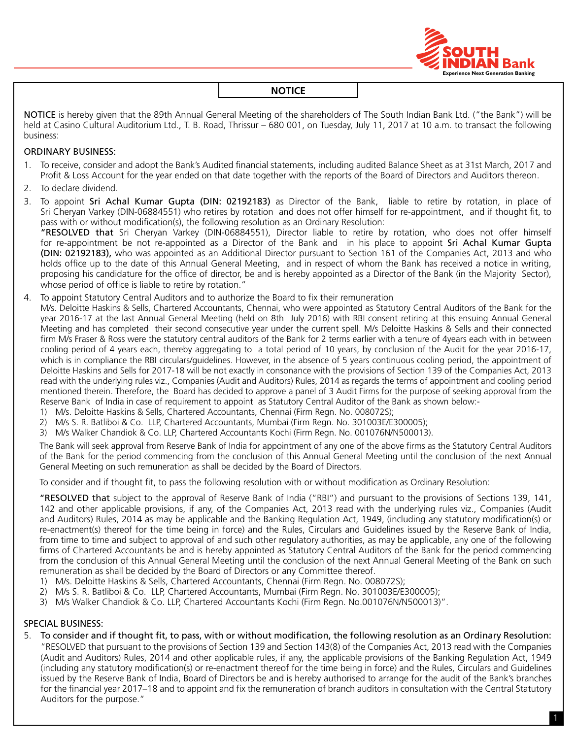

NOTICE is hereby given that the 89th Annual General Meeting of the shareholders of The South Indian Bank Ltd. ("the Bank") will be held at Casino Cultural Auditorium Ltd., T. B. Road, Thrissur – 680 001, on Tuesday, July 11, 2017 at 10 a.m. to transact the following business:

## ORDINARY BUSINESS:

- 1. To receive, consider and adopt the Bank's Audited financial statements, including audited Balance Sheet as at 31st March, 2017 and Profit & Loss Account for the year ended on that date together with the reports of the Board of Directors and Auditors thereon.
- 2. To declare dividend.
- 3. To appoint Sri Achal Kumar Gupta (DIN: 02192183) as Director of the Bank, liable to retire by rotation, in place of Sri Cheryan Varkey (DIN-06884551) who retires by rotation and does not offer himself for re-appointment, and if thought fit, to pass with or without modification(s), the following resolution as an Ordinary Resolution: "RESOLVED that Sri Cheryan Varkey (DIN-06884551), Director liable to retire by rotation, who does not offer himself for re-appointment be not re-appointed as a Director of the Bank and in his place to appoint Sri Achal Kumar Gupta (DIN: 02192183), who was appointed as an Additional Director pursuant to Section 161 of the Companies Act, 2013 and who holds office up to the date of this Annual General Meeting, and in respect of whom the Bank has received a notice in writing, proposing his candidature for the office of director, be and is hereby appointed as a Director of the Bank (in the Majority Sector),
- whose period of office is liable to retire by rotation."
- 4. To appoint Statutory Central Auditors and to authorize the Board to fix their remuneration
- M/s. Deloitte Haskins & Sells, Chartered Accountants, Chennai, who were appointed as Statutory Central Auditors of the Bank for the year 2016-17 at the last Annual General Meeting (held on 8th July 2016) with RBI consent retiring at this ensuing Annual General Meeting and has completed their second consecutive year under the current spell. M/s Deloitte Haskins & Sells and their connected firm M/s Fraser & Ross were the statutory central auditors of the Bank for 2 terms earlier with a tenure of 4years each with in between cooling period of 4 years each, thereby aggregating to a total period of 10 years, by conclusion of the Audit for the year 2016-17, which is in compliance the RBI circulars/guidelines. However, in the absence of 5 years continuous cooling period, the appointment of Deloitte Haskins and Sells for 2017-18 will be not exactly in consonance with the provisions of Section 139 of the Companies Act, 2013 read with the underlying rules viz., Companies (Audit and Auditors) Rules, 2014 as regards the terms of appointment and cooling period mentioned therein. Therefore, the Board has decided to approve a panel of 3 Audit Firms for the purpose of seeking approval from the Reserve Bank of India in case of requirement to appoint as Statutory Central Auditor of the Bank as shown below:-
	- 1) M/s. Deloitte Haskins & Sells, Chartered Accountants, Chennai (Firm Regn. No. 008072S);
	- 2) M/s S. R. Batliboi & Co. LLP, Chartered Accountants, Mumbai (Firm Regn. No. 301003E/E300005);
	- 3) M/s Walker Chandiok & Co. LLP, Chartered Accountants Kochi (Firm Regn. No. 001076N/N500013).

The Bank will seek approval from Reserve Bank of India for appointment of any one of the above firms as the Statutory Central Auditors of the Bank for the period commencing from the conclusion of this Annual General Meeting until the conclusion of the next Annual General Meeting on such remuneration as shall be decided by the Board of Directors.

To consider and if thought fit, to pass the following resolution with or without modification as Ordinary Resolution:

"RESOLVED that subject to the approval of Reserve Bank of India ("RBI") and pursuant to the provisions of Sections 139, 141, 142 and other applicable provisions, if any, of the Companies Act, 2013 read with the underlying rules viz., Companies (Audit and Auditors) Rules, 2014 as may be applicable and the Banking Regulation Act, 1949, (including any statutory modification(s) or re-enactment(s) thereof for the time being in force) and the Rules, Circulars and Guidelines issued by the Reserve Bank of India, from time to time and subject to approval of and such other regulatory authorities, as may be applicable, any one of the following firms of Chartered Accountants be and is hereby appointed as Statutory Central Auditors of the Bank for the period commencing from the conclusion of this Annual General Meeting until the conclusion of the next Annual General Meeting of the Bank on such remuneration as shall be decided by the Board of Directors or any Committee thereof.

- 1) M/s. Deloitte Haskins & Sells, Chartered Accountants, Chennai (Firm Regn. No. 008072S);
- 2) M/s S. R. Batliboi & Co. LLP, Chartered Accountants, Mumbai (Firm Regn. No. 301003E/E300005);
- 3) M/s Walker Chandiok & Co. LLP, Chartered Accountants Kochi (Firm Regn. No.001076N/N500013)".

#### SPECIAL BUSINESS:

5. To consider and if thought fit, to pass, with or without modification, the following resolution as an Ordinary Resolution: "RESOLVED that pursuant to the provisions of Section 139 and section 143(8) of the Companies Act, 2013 read with the Companies (Audit and Auditors) Rules, 2014 and other applicable rules, if any, the applicable provisions of the Banking Regulation Act, 1949 (including any statutory modification(s) or re-enactment thereof for the time being in force) and the Rules, Circulars and Guidelines issued by the Reserve Bank of India, Board of Directors be and is hereby authorised to arrange for the audit of the Bank's branches for the financial year 2017–18 and to appoint and fix the remuneration of branch auditors in consultation with the Central Statutory Auditors for the purpose."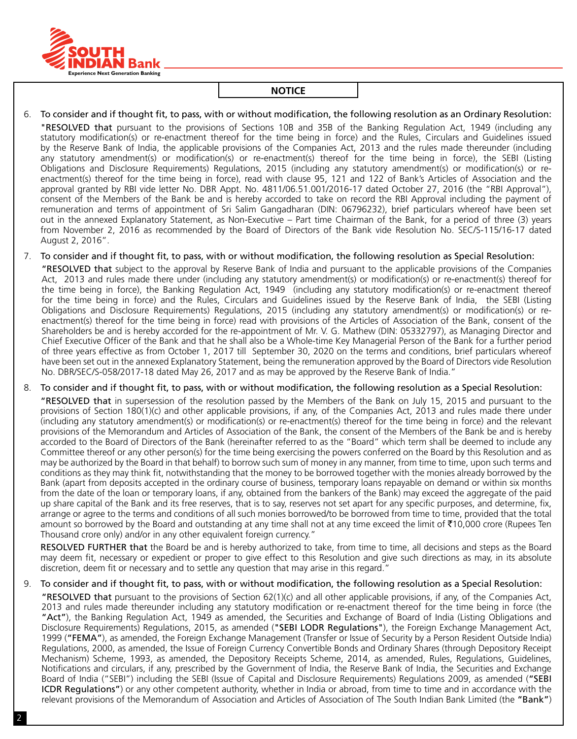

6. To consider and if thought fit, to pass, with or without modification, the following resolution as an Ordinary Resolution: "RESOLVED that pursuant to the provisions of Sections 10B and 35B of the Banking Regulation Act, 1949 (including any statutory modification(s) or re-enactment thereof for the time being in force) and the Rules, Circulars and Guidelines issued by the Reserve Bank of India, the applicable provisions of the Companies Act, 2013 and the rules made thereunder (including any statutory amendment(s) or modification(s) or re-enactment(s) thereof for the time being in force), the SEBI (Listing Obligations and Disclosure Requirements) Regulations, 2015 (including any statutory amendment(s) or modification(s) or reenactment(s) thereof for the time being in force), read with clause 95, 121 and 122 of Bank's Articles of Association and the approval granted by RBI vide letter No. DBR Appt. No. 4811/06.51.001/2016-17 dated October 27, 2016 (the "RBI Approval"), consent of the Members of the Bank be and is hereby accorded to take on record the RBI Approval including the payment of remuneration and terms of appointment of Sri Salim Gangadharan (DIN: 06796232), brief particulars whereof have been set out in the annexed Explanatory Statement, as Non-Executive – Part time Chairman of the Bank, for a period of three (3) years from November 2, 2016 as recommended by the Board of Directors of the Bank vide Resolution No. SEC/S-115/16-17 dated August 2, 2016".

7. To consider and if thought fit, to pass, with or without modification, the following resolution as Special Resolution:

"RESOLVED that subject to the approval by Reserve Bank of India and pursuant to the applicable provisions of the Companies Act, 2013 and rules made there under (including any statutory amendment(s) or modification(s) or re-enactment(s) thereof for the time being in force), the Banking Regulation Act, 1949 (including any statutory modification(s) or re-enactment thereof for the time being in force) and the Rules, Circulars and Guidelines issued by the Reserve Bank of India, the SEBI (Listing Obligations and Disclosure Requirements) Regulations, 2015 (including any statutory amendment(s) or modification(s) or reenactment(s) thereof for the time being in force) read with provisions of the Articles of Association of the Bank, consent of the Shareholders be and is hereby accorded for the re-appointment of Mr. V. G. Mathew (DIN: 05332797), as Managing Director and Chief Executive Officer of the Bank and that he shall also be a Whole-time Key Managerial Person of the Bank for a further period of three years effective as from October 1, 2017 till September 30, 2020 on the terms and conditions, brief particulars whereof have been set out in the annexed Explanatory Statement, being the remuneration approved by the Board of Directors vide Resolution No. DBR/SEC/S-058/2017-18 dated May 26, 2017 and as may be approved by the Reserve Bank of India."

## 8. To consider and if thought fit, to pass, with or without modification, the following resolution as a Special Resolution:

"RESOLVED that in supersession of the resolution passed by the Members of the Bank on July 15, 2015 and pursuant to the provisions of Section 180(1)(c) and other applicable provisions, if any, of the Companies Act, 2013 and rules made there under (including any statutory amendment(s) or modification(s) or re-enactment(s) thereof for the time being in force) and the relevant provisions of the Memorandum and Articles of Association of the Bank, the consent of the Members of the Bank be and is hereby accorded to the Board of Directors of the Bank (hereinafter referred to as the "Board" which term shall be deemed to include any Committee thereof or any other person(s) for the time being exercising the powers conferred on the Board by this Resolution and as may be authorized by the Board in that behalf) to borrow such sum of money in any manner, from time to time, upon such terms and conditions as they may think fit, notwithstanding that the money to be borrowed together with the monies already borrowed by the Bank (apart from deposits accepted in the ordinary course of business, temporary loans repayable on demand or within six months from the date of the loan or temporary loans, if any, obtained from the bankers of the Bank) may exceed the aggregate of the paid up share capital of the Bank and its free reserves, that is to say, reserves not set apart for any specific purposes, and determine, fix, arrange or agree to the terms and conditions of all such monies borrowed/to be borrowed from time to time, provided that the total amount so borrowed by the Board and outstanding at any time shall not at any time exceed the limit of  $\bar{\tau}$ 10,000 crore (Rupees Ten Thousand crore only) and/or in any other equivalent foreign currency."

RESOLVED FURTHER that the Board be and is hereby authorized to take, from time to time, all decisions and steps as the Board may deem fit, necessary or expedient or proper to give effect to this Resolution and give such directions as may, in its absolute discretion, deem fit or necessary and to settle any question that may arise in this regard."

## 9. To consider and if thought fit, to pass, with or without modification, the following resolution as a Special Resolution:

"RESOLVED that pursuant to the provisions of Section 62(1)(c) and all other applicable provisions, if any, of the Companies Act, 2013 and rules made thereunder including any statutory modification or re-enactment thereof for the time being in force (the "Act"), the Banking Regulation Act, 1949 as amended, the Securities and Exchange of Board of India (Listing Obligations and Disclosure Requirements) Regulations, 2015, as amended ("SEBI LODR Regulations"), the Foreign Exchange Management Act, 1999 ("FEMA"), as amended, the Foreign Exchange Management (Transfer or Issue of Security by a Person Resident Outside India) Regulations, 2000, as amended, the Issue of Foreign Currency Convertible Bonds and Ordinary Shares (through Depository Receipt Mechanism) Scheme, 1993, as amended, the Depository Receipts Scheme, 2014, as amended, Rules, Regulations, Guidelines, Notifications and circulars, if any, prescribed by the Government of India, the Reserve Bank of India, the Securities and Exchange Board of India ("SEBI") including the SEBI (Issue of Capital and Disclosure Requirements) Regulations 2009, as amended ("SEBI ICDR Regulations") or any other competent authority, whether in India or abroad, from time to time and in accordance with the relevant provisions of the Memorandum of Association and Articles of Association of The South Indian Bank Limited (the "Bank")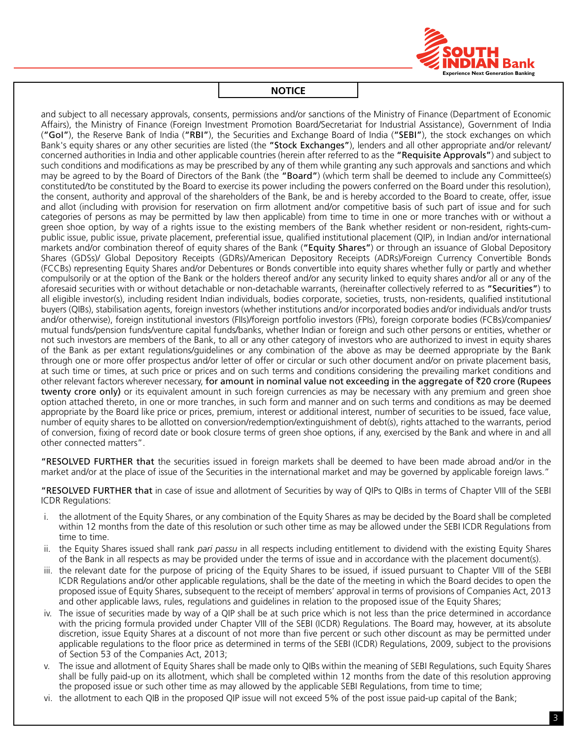

and subject to all necessary approvals, consents, permissions and/or sanctions of the Ministry of Finance (Department of Economic Affairs), the Ministry of Finance (Foreign Investment Promotion Board/Secretariat for Industrial Assistance), Government of India ("GoI"), the Reserve Bank of India ("RBI"), the Securities and Exchange Board of India ("SEBI"), the stock exchanges on which Bank's equity shares or any other securities are listed (the "Stock Exchanges"), lenders and all other appropriate and/or relevant/ concerned authorities in India and other applicable countries (herein after referred to as the "Requisite Approvals") and subject to such conditions and modifications as may be prescribed by any of them while granting any such approvals and sanctions and which may be agreed to by the Board of Directors of the Bank (the "Board") (which term shall be deemed to include any Committee(s) constituted/to be constituted by the Board to exercise its power including the powers conferred on the Board under this resolution), the consent, authority and approval of the shareholders of the Bank, be and is hereby accorded to the Board to create, offer, issue and allot (including with provision for reservation on firm allotment and/or competitive basis of such part of issue and for such categories of persons as may be permitted by law then applicable) from time to time in one or more tranches with or without a green shoe option, by way of a rights issue to the existing members of the Bank whether resident or non-resident, rights-cumpublic issue, public issue, private placement, preferential issue, qualified institutional placement (QIP), in Indian and/or international markets and/or combination thereof of equity shares of the Bank ("Equity Shares") or through an issuance of Global Depository Shares (GDSs)/ Global Depository Receipts (GDRs)/American Depository Receipts (ADRs)/Foreign Currency Convertible Bonds (FCCBs) representing Equity Shares and/or Debentures or Bonds convertible into equity shares whether fully or partly and whether compulsorily or at the option of the Bank or the holders thereof and/or any security linked to equity shares and/or all or any of the aforesaid securities with or without detachable or non-detachable warrants, (hereinafter collectively referred to as "Securities") to all eligible investor(s), including resident Indian individuals, bodies corporate, societies, trusts, non-residents, qualified institutional buyers (QIBs), stabilisation agents, foreign investors (whether institutions and/or incorporated bodies and/or individuals and/or trusts and/or otherwise), foreign institutional investors (FIIs)/foreign portfolio investors (FPIs), foreign corporate bodies (FCBs)/companies/ mutual funds/pension funds/venture capital funds/banks, whether Indian or foreign and such other persons or entities, whether or not such investors are members of the Bank, to all or any other category of investors who are authorized to invest in equity shares of the Bank as per extant regulations/guidelines or any combination of the above as may be deemed appropriate by the Bank through one or more offer prospectus and/or letter of offer or circular or such other document and/or on private placement basis, at such time or times, at such price or prices and on such terms and conditions considering the prevailing market conditions and other relevant factors wherever necessary, for amount in nominal value not exceeding in the aggregate of  $\bar{\tau}$ 20 crore (Rupees twenty crore only) or its equivalent amount in such foreign currencies as may be necessary with any premium and green shoe option attached thereto, in one or more tranches, in such form and manner and on such terms and conditions as may be deemed appropriate by the Board like price or prices, premium, interest or additional interest, number of securities to be issued, face value, number of equity shares to be allotted on conversion/redemption/extinguishment of debt(s), rights attached to the warrants, period of conversion, fixing of record date or book closure terms of green shoe options, if any, exercised by the Bank and where in and all other connected matters".

"RESOLVED FURTHER that the securities issued in foreign markets shall be deemed to have been made abroad and/or in the market and/or at the place of issue of the Securities in the international market and may be governed by applicable foreign laws."

"RESOLVED FURTHER that in case of issue and allotment of Securities by way of QIPs to QIBs in terms of Chapter VIII of the SEBI ICDR Regulations:

- i. the allotment of the Equity Shares, or any combination of the Equity Shares as may be decided by the Board shall be completed within 12 months from the date of this resolution or such other time as may be allowed under the SEBI ICDR Regulations from time to time.
- ii. the Equity Shares issued shall rank *pari passu* in all respects including entitlement to dividend with the existing Equity Shares of the Bank in all respects as may be provided under the terms of issue and in accordance with the placement document(s).
- iii. the relevant date for the purpose of pricing of the Equity Shares to be issued, if issued pursuant to Chapter VIII of the SEBI ICDR Regulations and/or other applicable regulations, shall be the date of the meeting in which the Board decides to open the proposed issue of Equity Shares, subsequent to the receipt of members' approval in terms of provisions of Companies Act, 2013 and other applicable laws, rules, regulations and guidelines in relation to the proposed issue of the Equity Shares;
- iv. The issue of securities made by way of a QIP shall be at such price which is not less than the price determined in accordance with the pricing formula provided under Chapter VIII of the SEBI (ICDR) Regulations. The Board may, however, at its absolute discretion, issue Equity Shares at a discount of not more than five percent or such other discount as may be permitted under applicable regulations to the floor price as determined in terms of the SEBI (ICDR) Regulations, 2009, subject to the provisions of Section 53 of the Companies Act, 2013;
- v. The issue and allotment of Equity Shares shall be made only to QIBs within the meaning of SEBI Regulations, such Equity Shares shall be fully paid-up on its allotment, which shall be completed within 12 months from the date of this resolution approving the proposed issue or such other time as may allowed by the applicable SEBI Regulations, from time to time;
- vi. the allotment to each QIB in the proposed QIP issue will not exceed 5% of the post issue paid-up capital of the Bank;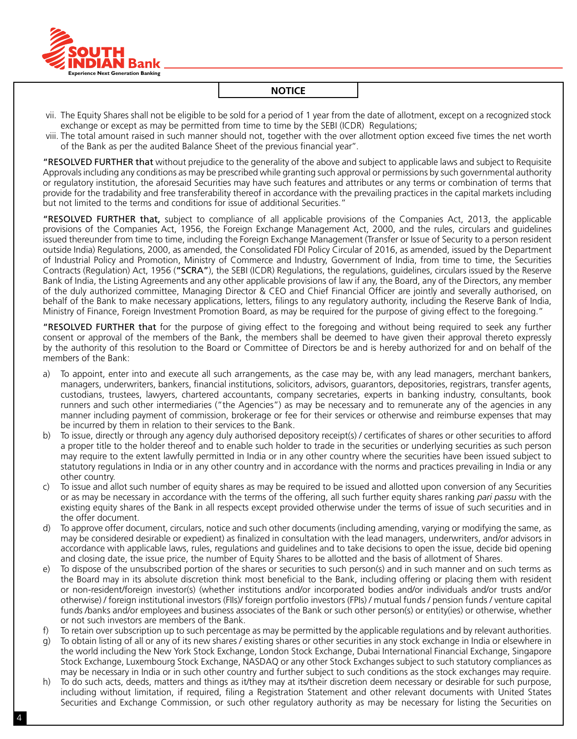

- vii. The Equity Shares shall not be eligible to be sold for a period of 1 year from the date of allotment, except on a recognized stock exchange or except as may be permitted from time to time by the SEBI (ICDR) Regulations;
- viii. The total amount raised in such manner should not, together with the over allotment option exceed five times the net worth of the Bank as per the audited Balance Sheet of the previous financial year''.

"RESOLVED FURTHER that without prejudice to the generality of the above and subject to applicable laws and subject to Requisite Approvals including any conditions as may be prescribed while granting such approval or permissions by such governmental authority or regulatory institution, the aforesaid Securities may have such features and attributes or any terms or combination of terms that provide for the tradability and free transferability thereof in accordance with the prevailing practices in the capital markets including but not limited to the terms and conditions for issue of additional Securities."

"RESOLVED FURTHER that, subject to compliance of all applicable provisions of the Companies Act, 2013, the applicable provisions of the Companies Act, 1956, the Foreign Exchange Management Act, 2000, and the rules, circulars and guidelines issued thereunder from time to time, including the Foreign Exchange Management (Transfer or Issue of Security to a person resident outside India) Regulations, 2000, as amended, the Consolidated FDI Policy Circular of 2016, as amended, issued by the Department of Industrial Policy and Promotion, Ministry of Commerce and Industry, Government of India, from time to time, the Securities Contracts (Regulation) Act, 1956 ("SCRA"), the SEBI (ICDR) Regulations, the regulations, guidelines, circulars issued by the Reserve Bank of India, the Listing Agreements and any other applicable provisions of law if any, the Board, any of the Directors, any member of the duly authorized committee, Managing Director & CEO and Chief Financial Officer are jointly and severally authorised, on behalf of the Bank to make necessary applications, letters, filings to any regulatory authority, including the Reserve Bank of India, Ministry of Finance, Foreign Investment Promotion Board, as may be required for the purpose of giving effect to the foregoing."

"RESOLVED FURTHER that for the purpose of giving effect to the foregoing and without being required to seek any further consent or approval of the members of the Bank, the members shall be deemed to have given their approval thereto expressly by the authority of this resolution to the Board or Committee of Directors be and is hereby authorized for and on behalf of the members of the Bank:

- a) To appoint, enter into and execute all such arrangements, as the case may be, with any lead managers, merchant bankers, managers, underwriters, bankers, financial institutions, solicitors, advisors, guarantors, depositories, registrars, transfer agents, custodians, trustees, lawyers, chartered accountants, company secretaries, experts in banking industry, consultants, book runners and such other intermediaries ("the Agencies") as may be necessary and to remunerate any of the agencies in any manner including payment of commission, brokerage or fee for their services or otherwise and reimburse expenses that may be incurred by them in relation to their services to the Bank.
- b) To issue, directly or through any agency duly authorised depository receipt(s) / certificates of shares or other securities to afford a proper title to the holder thereof and to enable such holder to trade in the securities or underlying securities as such person may require to the extent lawfully permitted in India or in any other country where the securities have been issued subject to statutory regulations in India or in any other country and in accordance with the norms and practices prevailing in India or any other country.
- c) To issue and allot such number of equity shares as may be required to be issued and allotted upon conversion of any Securities or as may be necessary in accordance with the terms of the offering, all such further equity shares ranking *pari passu* with the existing equity shares of the Bank in all respects except provided otherwise under the terms of issue of such securities and in the offer document.
- d) To approve offer document, circulars, notice and such other documents (including amending, varying or modifying the same, as may be considered desirable or expedient) as finalized in consultation with the lead managers, underwriters, and/or advisors in accordance with applicable laws, rules, regulations and guidelines and to take decisions to open the issue, decide bid opening and closing date, the issue price, the number of Equity Shares to be allotted and the basis of allotment of Shares.
- e) To dispose of the unsubscribed portion of the shares or securities to such person(s) and in such manner and on such terms as the Board may in its absolute discretion think most beneficial to the Bank, including offering or placing them with resident or non-resident/foreign investor(s) (whether institutions and/or incorporated bodies and/or individuals and/or trusts and/or otherwise) / foreign institutional investors (FIIs)/ foreign portfolio investors (FPIs) / mutual funds / pension funds / venture capital funds /banks and/or employees and business associates of the Bank or such other person(s) or entity(ies) or otherwise, whether or not such investors are members of the Bank.
- f) To retain over subscription up to such percentage as may be permitted by the applicable regulations and by relevant authorities.
- g) To obtain listing of all or any of its new shares / existing shares or other securities in any stock exchange in India or elsewhere in the world including the New York Stock Exchange, London Stock Exchange, Dubai International Financial Exchange, Singapore Stock Exchange, Luxembourg Stock Exchange, NASDAQ or any other Stock Exchanges subject to such statutory compliances as may be necessary in India or in such other country and further subject to such conditions as the stock exchanges may require.
- h) To do such acts, deeds, matters and things as it/they may at its/their discretion deem necessary or desirable for such purpose, including without limitation, if required, filing a Registration Statement and other relevant documents with United States Securities and Exchange Commission, or such other regulatory authority as may be necessary for listing the Securities on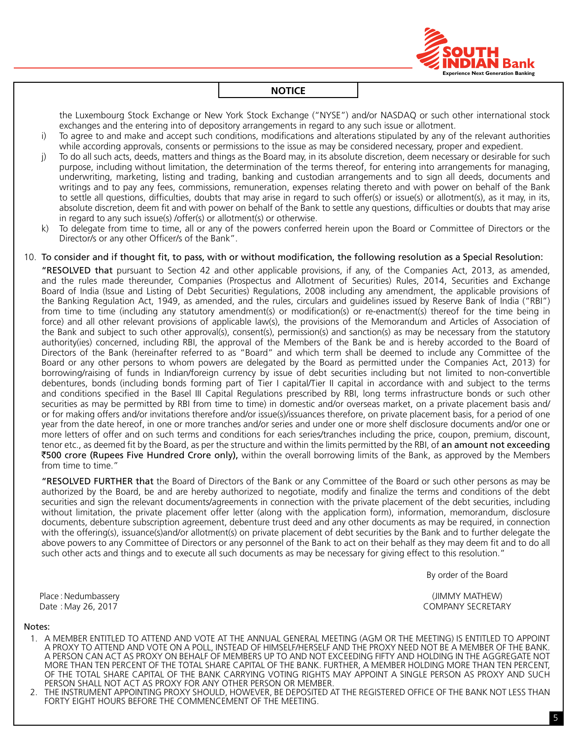

the Luxembourg Stock Exchange or New York Stock Exchange ("NYSE") and/or NASDAQ or such other international stock exchanges and the entering into of depository arrangements in regard to any such issue or allotment.

- i) To agree to and make and accept such conditions, modifications and alterations stipulated by any of the relevant authorities while according approvals, consents or permissions to the issue as may be considered necessary, proper and expedient.
- j) To do all such acts, deeds, matters and things as the Board may, in its absolute discretion, deem necessary or desirable for such purpose, including without limitation, the determination of the terms thereof, for entering into arrangements for managing, underwriting, marketing, listing and trading, banking and custodian arrangements and to sign all deeds, documents and writings and to pay any fees, commissions, remuneration, expenses relating thereto and with power on behalf of the Bank to settle all questions, difficulties, doubts that may arise in regard to such offer(s) or issue(s) or allotment(s), as it may, in its, absolute discretion, deem fit and with power on behalf of the Bank to settle any questions, difficulties or doubts that may arise in regard to any such issue(s) /offer(s) or allotment(s) or otherwise.
- k) To delegate from time to time, all or any of the powers conferred herein upon the Board or Committee of Directors or the Director/s or any other Officer/s of the Bank".

#### 10. To consider and if thought fit, to pass, with or without modification, the following resolution as a Special Resolution:

"RESOLVED that pursuant to Section 42 and other applicable provisions, if any, of the Companies Act, 2013, as amended, and the rules made thereunder, Companies (Prospectus and Allotment of Securities) Rules, 2014, Securities and Exchange Board of India (Issue and Listing of Debt Securities) Regulations, 2008 including any amendment, the applicable provisions of the Banking Regulation Act, 1949, as amended, and the rules, circulars and guidelines issued by Reserve Bank of India ("RBI") from time to time (including any statutory amendment(s) or modification(s) or re-enactment(s) thereof for the time being in force) and all other relevant provisions of applicable law(s), the provisions of the Memorandum and Articles of Association of the Bank and subject to such other approval(s), consent(s), permission(s) and sanction(s) as may be necessary from the statutory authority(ies) concerned, including RBI, the approval of the Members of the Bank be and is hereby accorded to the Board of Directors of the Bank (hereinafter referred to as "Board" and which term shall be deemed to include any Committee of the Board or any other persons to whom powers are delegated by the Board as permitted under the Companies Act, 2013) for borrowing/raising of funds in Indian/foreign currency by issue of debt securities including but not limited to non-convertible debentures, bonds (including bonds forming part of Tier I capital/Tier II capital in accordance with and subject to the terms and conditions specified in the Basel III Capital Regulations prescribed by RBI, long terms infrastructure bonds or such other securities as may be permitted by RBI from time to time) in domestic and/or overseas market, on a private placement basis and/ or for making offers and/or invitations therefore and/or issue(s)/issuances therefore, on private placement basis, for a period of one year from the date hereof, in one or more tranches and/or series and under one or more shelf disclosure documents and/or one or more letters of offer and on such terms and conditions for each series/tranches including the price, coupon, premium, discount, tenor etc., as deemed fit by the Board, as per the structure and within the limits permitted by the RBI, of an amount not exceeding `500 crore (Rupees Five Hundred Crore only), within the overall borrowing limits of the Bank, as approved by the Members from time to time."

"RESOLVED FURTHER that the Board of Directors of the Bank or any Committee of the Board or such other persons as may be authorized by the Board, be and are hereby authorized to negotiate, modify and finalize the terms and conditions of the debt securities and sign the relevant documents/agreements in connection with the private placement of the debt securities, including without limitation, the private placement offer letter (along with the application form), information, memorandum, disclosure documents, debenture subscription agreement, debenture trust deed and any other documents as may be required, in connection with the offering(s), issuance(s)and/or allotment(s) on private placement of debt securities by the Bank and to further delegate the above powers to any Committee of Directors or any personnel of the Bank to act on their behalf as they may deem fit and to do all such other acts and things and to execute all such documents as may be necessary for giving effect to this resolution."

By order of the Board

Place :Nedumbassery (JIMMY MATHEW) Date : May 26, 2017 COMPANY SECRETARY

#### Notes:

- 1. A MEMBER ENTITLED TO ATTEND AND VOTE AT THE ANNUAL GENERAL MEETING (AGM OR THE MEETING) IS ENTITLED TO APPOINT A PROXY TO ATTEND AND VOTE ON A POLL, INSTEAD OF HIMSELF/HERSELF AND THE PROXY NEED NOT BE A MEMBER OF THE BANK. A PERSON CAN ACT AS PROXY ON BEHALF OF MEMBERS UP TO AND NOT EXCEEDING FIFTY AND HOLDING IN THE AGGREGATE NOT MORE THAN TEN PERCENT OF THE TOTAL SHARE CAPITAL OF THE BANK. FURTHER, A MEMBER HOLDING MORE THAN TEN PERCENT, OF THE TOTAL SHARE CAPITAL OF THE BANK CARRYING VOTING RIGHTS MAY APPOINT A SINGLE PERSON AS PROXY AND SUCH PERSON SHALL NOT ACT AS PROXY FOR ANY OTHER PERSON OR MEMBER.
- 2. THE INSTRUMENT APPOINTING PROXY SHOULD, HOWEVER, BE DEPOSITED AT THE REGISTERED OFFICE OF THE BANK NOT LESS THAN FORTY EIGHT HOURS BEFORE THE COMMENCEMENT OF THE MEETING.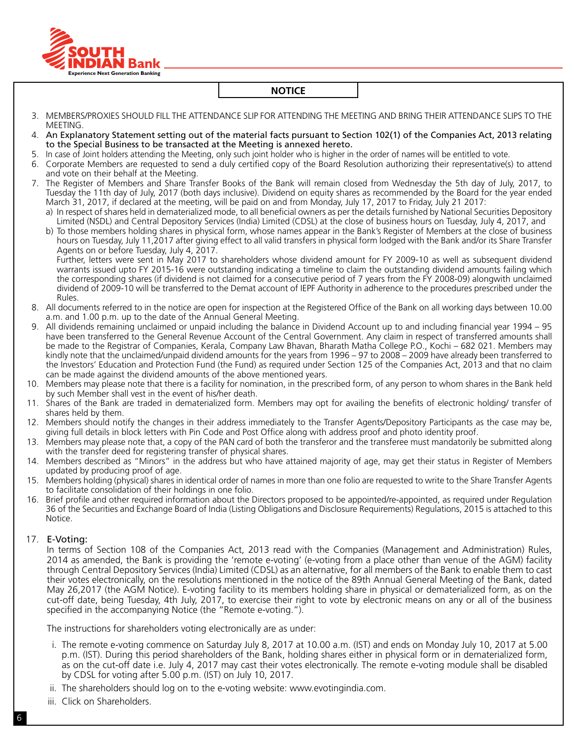

- 3. MEMBERS/PROXIES SHOULD FILL THE ATTENDANCE SLIP FOR ATTENDING THE MEETING AND BRING THEIR ATTENDANCE SLIPS TO THE MEETING.
- 4. An Explanatory Statement setting out of the material facts pursuant to Section 102(1) of the Companies Act, 2013 relating to the Special Business to be transacted at the Meeting is annexed hereto.
- 5. In case of Joint holders attending the Meeting, only such joint holder who is higher in the order of names will be entitled to vote.
- 6. Corporate Members are requested to send a duly certified copy of the Board Resolution authorizing their representative(s) to attend and vote on their behalf at the Meeting.
- 7. The Register of Members and Share Transfer Books of the Bank will remain closed from Wednesday the 5th day of July, 2017, to Tuesday the 11th day of July, 2017 (both days inclusive). Dividend on equity shares as recommended by the Board for the year ended March 31, 2017, if declared at the meeting, will be paid on and from Monday, July 17, 2017 to Friday, July 21 2017:
	- a) In respect of shares held in dematerialized mode, to all beneficial owners as per the details furnished by National Securities Depository Limited (NSDL) and Central Depository Services (India) Limited (CDSL) at the close of business hours on Tuesday, July 4, 2017, and
	- b) To those members holding shares in physical form, whose names appear in the Bank's Register of Members at the close of business hours on Tuesday, July 11,2017 after giving effect to all valid transfers in physical form lodged with the Bank and/or its Share Transfer Agents on or before Tuesday, July 4, 2017.

Further, letters were sent in May 2017 to shareholders whose dividend amount for FY 2009-10 as well as subsequent dividend warrants issued upto FY 2015-16 were outstanding indicating a timeline to claim the outstanding dividend amounts failing which the corresponding shares (if dividend is not claimed for a consecutive period of 7 years from the FY 2008-09) alongwith unclaimed dividend of 2009-10 will be transferred to the Demat account of IEPF Authority in adherence to the procedures prescribed under the Rules.

- 8. All documents referred to in the notice are open for inspection at the Registered Office of the Bank on all working days between 10.00 a.m. and 1.00 p.m. up to the date of the Annual General Meeting.
- 9. All dividends remaining unclaimed or unpaid including the balance in Dividend Account up to and including financial year 1994 95 have been transferred to the General Revenue Account of the Central Government. Any claim in respect of transferred amounts shall be made to the Registrar of Companies, Kerala, Company Law Bhavan, Bharath Matha College P.O., Kochi – 682 021. Members may kindly note that the unclaimed/unpaid dividend amounts for the years from 1996 – 97 to 2008 – 2009 have already been transferred to the Investors' Education and Protection Fund (the Fund) as required under Section 125 of the Companies Act, 2013 and that no claim can be made against the dividend amounts of the above mentioned years.
- 10. Members may please note that there is a facility for nomination, in the prescribed form, of any person to whom shares in the Bank held by such Member shall vest in the event of his/her death.
- 11. Shares of the Bank are traded in dematerialized form. Members may opt for availing the benefits of electronic holding/ transfer of shares held by them.
- 12. Members should notify the changes in their address immediately to the Transfer Agents/Depository Participants as the case may be, giving full details in block letters with Pin Code and Post Office along with address proof and photo identity proof.
- 13. Members may please note that, a copy of the PAN card of both the transferor and the transferee must mandatorily be submitted along with the transfer deed for registering transfer of physical shares.
- 14. Members described as "Minors" in the address but who have attained majority of age, may get their status in Register of Members updated by producing proof of age.
- 15. Members holding (physical) shares in identical order of names in more than one folio are requested to write to the Share Transfer Agents to facilitate consolidation of their holdings in one folio.
- 16. Brief profile and other required information about the Directors proposed to be appointed/re-appointed, as required under Regulation 36 of the Securities and Exchange Board of India (Listing Obligations and Disclosure Requirements) Regulations, 2015 is attached to this Notice.

#### 17. E-Voting:

 In terms of Section 108 of the Companies Act, 2013 read with the Companies (Management and Administration) Rules, 2014 as amended, the Bank is providing the 'remote e-voting' (e-voting from a place other than venue of the AGM) facility through Central Depository Services (India) Limited (CDSL) as an alternative, for all members of the Bank to enable them to cast their votes electronically, on the resolutions mentioned in the notice of the 89th Annual General Meeting of the Bank, dated May 26,2017 (the AGM Notice). E-voting facility to its members holding share in physical or dematerialized form, as on the cut-off date, being Tuesday, 4th July, 2017, to exercise their right to vote by electronic means on any or all of the business specified in the accompanying Notice (the "Remote e-voting.").

The instructions for shareholders voting electronically are as under:

- i. The remote e-voting commence on Saturday July 8, 2017 at 10.00 a.m. (IST) and ends on Monday July 10, 2017 at 5.00 p.m. (IST). During this period shareholders of the Bank, holding shares either in physical form or in dematerialized form, as on the cut-off date i.e. July 4, 2017 may cast their votes electronically. The remote e-voting module shall be disabled by CDSL for voting after 5.00 p.m. (IST) on July 10, 2017.
- ii. The shareholders should log on to the e-voting website: www.evotingindia.com.
- iii. Click on Shareholders.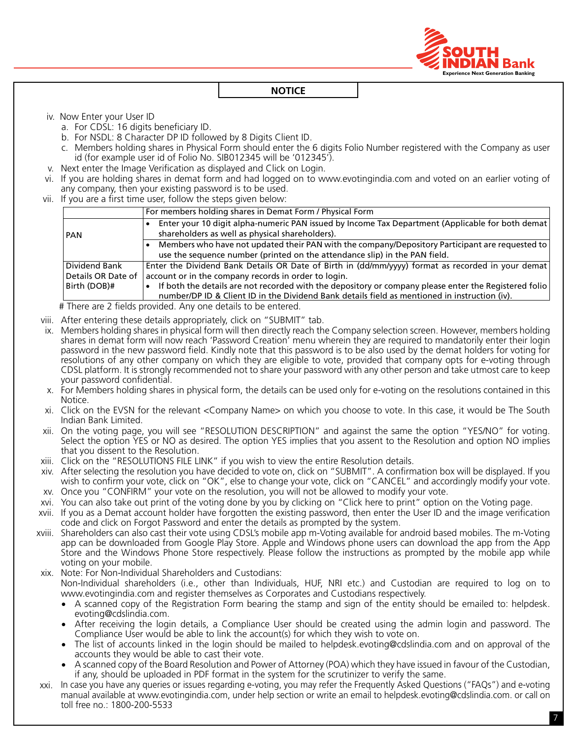

iv. Now Enter your User ID

- a. For CDSL: 16 digits beneficiary ID.
- b. For NSDL: 8 Character DP ID followed by 8 Digits Client ID.
- c. Members holding shares in Physical Form should enter the 6 digits Folio Number registered with the Company as user id (for example user id of Folio No. SIB012345 will be '012345').
- v. Next enter the Image Verification as displayed and Click on Login.
- vi. If you are holding shares in demat form and had logged on to www.evotingindia.com and voted on an earlier voting of any company, then your existing password is to be used.
- vii. If you are a first time user, follow the steps given below:

|                                     | For members holding shares in Demat Form / Physical Form                                                                                                                                               |
|-------------------------------------|--------------------------------------------------------------------------------------------------------------------------------------------------------------------------------------------------------|
| PAN                                 | Enter your 10 digit alpha-numeric PAN issued by Income Tax Department (Applicable for both demat)<br>shareholders as well as physical shareholders).                                                   |
|                                     | Members who have not updated their PAN with the company/Depository Participant are requested to<br>use the sequence number (printed on the attendance slip) in the PAN field.                          |
| Dividend Bank<br>Details OR Date of | Enter the Dividend Bank Details OR Date of Birth in (dd/mm/yyyy) format as recorded in your demat<br>account or in the company records in order to login.                                              |
| Birth (DOB)#                        | If both the details are not recorded with the depository or company please enter the Registered folio<br>number/DP ID & Client ID in the Dividend Bank details field as mentioned in instruction (iv). |

# There are 2 fields provided. Any one details to be entered.

- viii. After entering these details appropriately, click on "SUBMIT" tab.
- ix. Members holding shares in physical form will then directly reach the Company selection screen. However, members holding shares in demat form will now reach 'Password Creation' menu wherein they are required to mandatorily enter their login password in the new password field. Kindly note that this password is to be also used by the demat holders for voting for resolutions of any other company on which they are eligible to vote, provided that company opts for e-voting through CDSL platform. It is strongly recommended not to share your password with any other person and take utmost care to keep your password confidential.
- x. For Members holding shares in physical form, the details can be used only for e-voting on the resolutions contained in this Notice.
- xi. Click on the EVSN for the relevant <Company Name> on which you choose to vote. In this case, it would be The South Indian Bank Limited.
- xii. On the voting page, you will see "RESOLUTION DESCRIPTION" and against the same the option "YES/NO" for voting. Select the option YES or NO as desired. The option YES implies that you assent to the Resolution and option NO implies that you dissent to the Resolution.
- xiii. Click on the "RESOLUTIONS FILE LINK" if you wish to view the entire Resolution details.
- xiv. After selecting the resolution you have decided to vote on, click on "SUBMIT". A confirmation box will be displayed. If you wish to confirm your vote, click on "OK", else to change your vote, click on "CANCEL" and accordingly modify your vote. xv. Once you "CONFIRM" your vote on the resolution, you will not be allowed to modify your vote.
- xvi. You can also take out print of the voting done by you by clicking on "Click here to print" option on the Voting page.
- xvii. If you as a Demat account holder have forgotten the existing password, then enter the User ID and the image verification code and click on Forgot Password and enter the details as prompted by the system.
- xviii. Shareholders can also cast their vote using CDSL's mobile app m-Voting available for android based mobiles. The m-Voting app can be downloaded from Google Play Store. Apple and Windows phone users can download the app from the App Store and the Windows Phone Store respectively. Please follow the instructions as prompted by the mobile app while voting on your mobile.
- xix. Note: For Non-Individual Shareholders and Custodians:
	- Non-Individual shareholders (i.e., other than Individuals, HUF, NRI etc.) and Custodian are required to log on to www.evotingindia.com and register themselves as Corporates and Custodians respectively.
	- A scanned copy of the Registration Form bearing the stamp and sign of the entity should be emailed to: helpdesk. evoting@cdslindia.com.
	- • After receiving the login details, a Compliance User should be created using the admin login and password. The Compliance User would be able to link the account(s) for which they wish to vote on.
	- The list of accounts linked in the login should be mailed to helpdesk.evoting@cdslindia.com and on approval of the accounts they would be able to cast their vote.
	- A scanned copy of the Board Resolution and Power of Attorney (POA) which they have issued in favour of the Custodian, if any, should be uploaded in PDF format in the system for the scrutinizer to verify the same.
- xxi. In case you have any queries or issues regarding e-voting, you may refer the Frequently Asked Questions ("FAQs") and e-voting manual available at www.evotingindia.com, under help section or write an email to helpdesk.evoting@cdslindia.com. or call on toll free no.: 1800-200-5533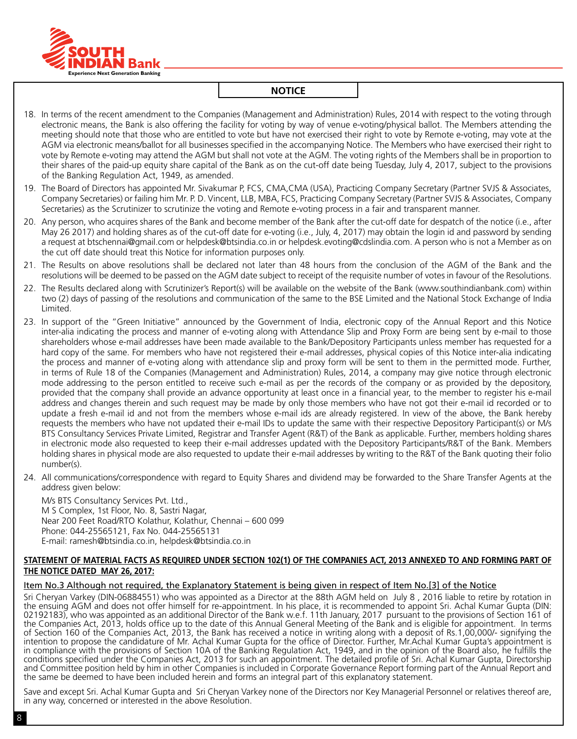

- 18. In terms of the recent amendment to the Companies (Management and Administration) Rules, 2014 with respect to the voting through electronic means, the Bank is also offering the facility for voting by way of venue e-voting/physical ballot. The Members attending the meeting should note that those who are entitled to vote but have not exercised their right to vote by Remote e-voting, may vote at the AGM via electronic means/ballot for all businesses specified in the accompanying Notice. The Members who have exercised their right to vote by Remote e-voting may attend the AGM but shall not vote at the AGM. The voting rights of the Members shall be in proportion to their shares of the paid-up equity share capital of the Bank as on the cut-off date being Tuesday, July 4, 2017, subject to the provisions of the Banking Regulation Act, 1949, as amended.
- 19. The Board of Directors has appointed Mr. Sivakumar P, FCS, CMA,CMA (USA), Practicing Company Secretary (Partner SVJS & Associates, Company Secretaries) or failing him Mr. P. D. Vincent, LLB, MBA, FCS, Practicing Company Secretary (Partner SVJS & Associates, Company Secretaries) as the Scrutinizer to scrutinize the voting and Remote e-voting process in a fair and transparent manner.
- 20. Any person, who acquires shares of the Bank and become member of the Bank after the cut-off date for despatch of the notice (i.e., after May 26 2017) and holding shares as of the cut-off date for e-voting (i.e., July, 4, 2017) may obtain the login id and password by sending a request at btschennai@gmail.com or helpdesk@btsindia.co.in or helpdesk.evoting@cdslindia.com. A person who is not a Member as on the cut off date should treat this Notice for information purposes only.
- 21. The Results on above resolutions shall be declared not later than 48 hours from the conclusion of the AGM of the Bank and the resolutions will be deemed to be passed on the AGM date subject to receipt of the requisite number of votes in favour of the Resolutions.
- 22. The Results declared along with Scrutinizer's Report(s) will be available on the website of the Bank (www.southindianbank.com) within two (2) days of passing of the resolutions and communication of the same to the BSE Limited and the National Stock Exchange of India Limited.
- 23. In support of the "Green Initiative" announced by the Government of India, electronic copy of the Annual Report and this Notice inter-alia indicating the process and manner of e-voting along with Attendance Slip and Proxy Form are being sent by e-mail to those shareholders whose e-mail addresses have been made available to the Bank/Depository Participants unless member has requested for a hard copy of the same. For members who have not registered their e-mail addresses, physical copies of this Notice inter-alia indicating the process and manner of e-voting along with attendance slip and proxy form will be sent to them in the permitted mode. Further, in terms of Rule 18 of the Companies (Management and Administration) Rules, 2014, a company may give notice through electronic mode addressing to the person entitled to receive such e-mail as per the records of the company or as provided by the depository, provided that the company shall provide an advance opportunity at least once in a financial year, to the member to register his e-mail address and changes therein and such request may be made by only those members who have not got their e-mail id recorded or to update a fresh e-mail id and not from the members whose e-mail ids are already registered. In view of the above, the Bank hereby requests the members who have not updated their e-mail IDs to update the same with their respective Depository Participant(s) or M/s BTS Consultancy Services Private Limited, Registrar and Transfer Agent (R&T) of the Bank as applicable. Further, members holding shares in electronic mode also requested to keep their e-mail addresses updated with the Depository Participants/R&T of the Bank. Members holding shares in physical mode are also requested to update their e-mail addresses by writing to the R&T of the Bank quoting their folio number(s).
- 24. All communications/correspondence with regard to Equity Shares and dividend may be forwarded to the Share Transfer Agents at the address given below:

M/s BTS Consultancy Services Pvt. Ltd., M S Complex, 1st Floor, No. 8, Sastri Nagar, Near 200 Feet Road/RTO Kolathur, Kolathur, Chennai – 600 099 Phone: 044-25565121, Fax No. 044-25565131 E-mail: ramesh@btsindia.co.in, helpdesk@btsindia.co.in

#### **Statement of material facts as required under Section 102(1) of the Companies Act, 2013 annexed to and forming part of the Notice dated May 26, 2017:**

#### Item No.3 Although not required, the Explanatory Statement is being given in respect of Item No.[3] of the Notice

Sri Cheryan Varkey (DIN-06884551) who was appointed as a Director at the 88th AGM held on July 8 , 2016 liable to retire by rotation in the ensuing AGM and does not offer himself for re-appointment. In his place, it is recommended to appoint Sri. Achal Kumar Gupta (DIN: 02192183), who was appointed as an additional Director of the Bank w.e.f. 11th January, 2017 pursuant to the provisions of Section 161 of the Companies Act, 2013, holds office up to the date of this Annual General Meeting of the Bank and is eligible for appointment. In terms of Section 160 of the Companies Act, 2013, the Bank has received a notice in writing along with a deposit of Rs.1,00,000/- signifying the intention to propose the candidature of Mr. Achal Kumar Gupta for the office of Director. Further, Mr.Achal Kumar Gupta's appointment is in compliance with the provisions of Section 10A of the Banking Regulation Act, 1949, and in the opinion of the Board also, he fulfills the conditions specified under the Companies Act, 2013 for such an appointment. The detailed profile of Sri. Achal Kumar Gupta, Directorship and Committee position held by him in other Companies is included in Corporate Governance Report forming part of the Annual Report and the same be deemed to have been included herein and forms an integral part of this explanatory statement.

Save and except Sri. Achal Kumar Gupta and Sri Cheryan Varkey none of the Directors nor Key Managerial Personnel or relatives thereof are, in any way, concerned or interested in the above Resolution.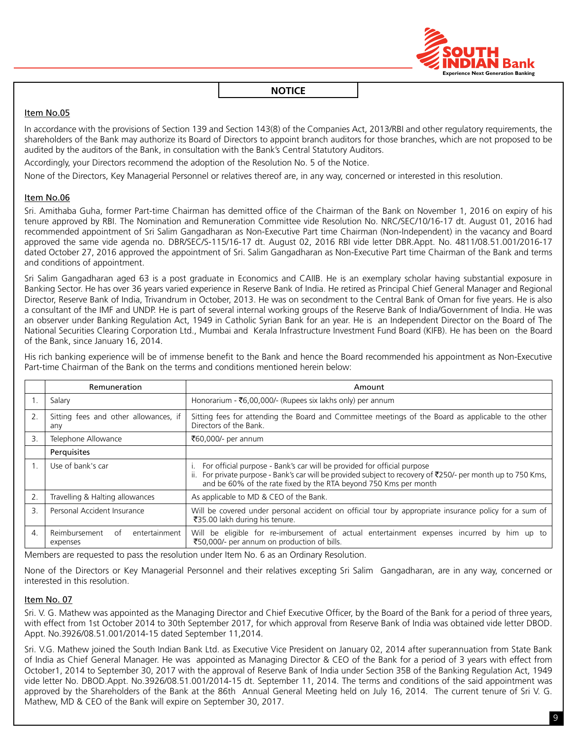

## Item No.05

In accordance with the provisions of Section 139 and Section 143(8) of the Companies Act, 2013/RBI and other regulatory requirements, the shareholders of the Bank may authorize its Board of Directors to appoint branch auditors for those branches, which are not proposed to be audited by the auditors of the Bank, in consultation with the Bank's Central Statutory Auditors.

Accordingly, your Directors recommend the adoption of the Resolution No. 5 of the Notice.

None of the Directors, Key Managerial Personnel or relatives thereof are, in any way, concerned or interested in this resolution.

## Item No.06

Sri. Amithaba Guha, former Part-time Chairman has demitted office of the Chairman of the Bank on November 1, 2016 on expiry of his tenure approved by RBI. The Nomination and Remuneration Committee vide Resolution No. NRC/SEC/10/16-17 dt. August 01, 2016 had recommended appointment of Sri Salim Gangadharan as Non-Executive Part time Chairman (Non-Independent) in the vacancy and Board approved the same vide agenda no. DBR/SEC/S-115/16-17 dt. August 02, 2016 RBI vide letter DBR.Appt. No. 4811/08.51.001/2016-17 dated October 27, 2016 approved the appointment of Sri. Salim Gangadharan as Non-Executive Part time Chairman of the Bank and terms and conditions of appointment.

Sri Salim Gangadharan aged 63 is a post graduate in Economics and CAIIB. He is an exemplary scholar having substantial exposure in Banking Sector. He has over 36 years varied experience in Reserve Bank of India. He retired as Principal Chief General Manager and Regional Director, Reserve Bank of India, Trivandrum in October, 2013. He was on secondment to the Central Bank of Oman for five years. He is also a consultant of the IMF and UNDP. He is part of several internal working groups of the Reserve Bank of India/Government of India. He was an observer under Banking Regulation Act, 1949 in Catholic Syrian Bank for an year. He is an Independent Director on the Board of The National Securities Clearing Corporation Ltd., Mumbai and Kerala Infrastructure Investment Fund Board (KIFB). He has been on the Board of the Bank, since January 16, 2014.

His rich banking experience will be of immense benefit to the Bank and hence the Board recommended his appointment as Non-Executive Part-time Chairman of the Bank on the terms and conditions mentioned herein below:

|    | Remuneration                                     | Amount                                                                                                                                                                                                                                                                   |
|----|--------------------------------------------------|--------------------------------------------------------------------------------------------------------------------------------------------------------------------------------------------------------------------------------------------------------------------------|
|    | Salary                                           | Honorarium - ₹6,00,000/- (Rupees six lakhs only) per annum                                                                                                                                                                                                               |
| 2. | Sitting fees and other allowances, if<br>any     | Sitting fees for attending the Board and Committee meetings of the Board as applicable to the other<br>Directors of the Bank.                                                                                                                                            |
| 3  | Telephone Allowance                              | ₹60,000/- per annum                                                                                                                                                                                                                                                      |
|    | Perquisites                                      |                                                                                                                                                                                                                                                                          |
|    | Use of bank's car                                | For official purpose - Bank's car will be provided for official purpose<br>ii. For private purpose - Bank's car will be provided subject to recovery of $\overline{2}250/-$ per month up to 750 Kms,<br>and be 60% of the rate fixed by the RTA beyond 750 Kms per month |
|    | Travelling & Halting allowances                  | As applicable to MD & CEO of the Bank.                                                                                                                                                                                                                                   |
| 3. | Personal Accident Insurance                      | Will be covered under personal accident on official tour by appropriate insurance policy for a sum of<br>₹35.00 lakh during his tenure.                                                                                                                                  |
| 4. | entertainment<br>Reimbursement<br>of<br>expenses | Will be eligible for re-imbursement of actual entertainment expenses incurred by him up to<br>₹50,000/- per annum on production of bills.                                                                                                                                |

Members are requested to pass the resolution under Item No. 6 as an Ordinary Resolution.

None of the Directors or Key Managerial Personnel and their relatives excepting Sri Salim Gangadharan, are in any way, concerned or interested in this resolution.

#### Item No. 07

Sri. V. G. Mathew was appointed as the Managing Director and Chief Executive Officer, by the Board of the Bank for a period of three years, with effect from 1st October 2014 to 30th September 2017, for which approval from Reserve Bank of India was obtained vide letter DBOD. Appt. No.3926/08.51.001/2014-15 dated September 11,2014.

Sri. V.G. Mathew joined the South Indian Bank Ltd. as Executive Vice President on January 02, 2014 after superannuation from State Bank of India as Chief General Manager. He was appointed as Managing Director & CEO of the Bank for a period of 3 years with effect from October1, 2014 to September 30, 2017 with the approval of Reserve Bank of India under Section 35B of the Banking Regulation Act, 1949 vide letter No. DBOD.Appt. No.3926/08.51.001/2014-15 dt. September 11, 2014. The terms and conditions of the said appointment was approved by the Shareholders of the Bank at the 86th Annual General Meeting held on July 16, 2014. The current tenure of Sri V. G. Mathew, MD & CEO of the Bank will expire on September 30, 2017.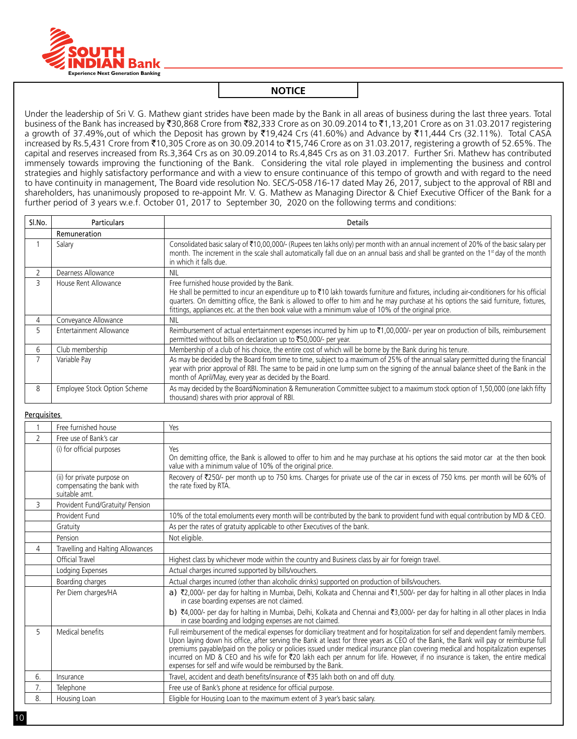

Under the leadership of Sri V. G. Mathew giant strides have been made by the Bank in all areas of business during the last three years. Total business of the Bank has increased by ₹30,868 Crore from ₹82,333 Crore as on 30.09.2014 to ₹1,13,201 Crore as on 31.03.2017 registering a growth of 37.49%,out of which the Deposit has grown by `19,424 Crs (41.60%) and Advance by `11,444 Crs (32.11%). Total CASA increased by Rs.5,431 Crore from ₹10,305 Crore as on 30.09.2014 to ₹15,746 Crore as on 31.03.2017, registering a growth of 52.65%. The capital and reserves increased from Rs.3,364 Crs as on 30.09.2014 to Rs.4,845 Crs as on 31.03.2017. Further Sri. Mathew has contributed immensely towards improving the functioning of the Bank. Considering the vital role played in implementing the business and control strategies and highly satisfactory performance and with a view to ensure continuance of this tempo of growth and with regard to the need to have continuity in management, The Board vide resolution No. SEC/S-058 /16-17 dated May 26, 2017, subject to the approval of RBI and shareholders, has unanimously proposed to re-appoint Mr. V. G. Mathew as Managing Director & Chief Executive Officer of the Bank for a further period of 3 years w.e.f. October 01, 2017 to September 30, 2020 on the following terms and conditions:

| Sl.No. | <b>Particulars</b>           | <b>Details</b>                                                                                                                                                                                                                                                                                                                                                                                                                       |  |
|--------|------------------------------|--------------------------------------------------------------------------------------------------------------------------------------------------------------------------------------------------------------------------------------------------------------------------------------------------------------------------------------------------------------------------------------------------------------------------------------|--|
|        | Remuneration                 |                                                                                                                                                                                                                                                                                                                                                                                                                                      |  |
|        | Salary                       | Consolidated basic salary of ₹10,00,000/- (Rupees ten lakhs only) per month with an annual increment of 20% of the basic salary per<br>month. The increment in the scale shall automatically fall due on an annual basis and shall be granted on the 1 <sup>st</sup> day of the month<br>in which it falls due.                                                                                                                      |  |
|        | Dearness Allowance           | NIL.                                                                                                                                                                                                                                                                                                                                                                                                                                 |  |
| 3      | House Rent Allowance         | Free furnished house provided by the Bank.<br>He shall be permitted to incur an expenditure up to ₹10 lakh towards furniture and fixtures, including air-conditioners for his official<br>quarters. On demitting office, the Bank is allowed to offer to him and he may purchase at his options the said furniture, fixtures,<br>fittings, appliances etc. at the then book value with a minimum value of 10% of the original price. |  |
| 4      | Conveyance Allowance         | <b>NIL</b>                                                                                                                                                                                                                                                                                                                                                                                                                           |  |
|        | Entertainment Allowance      | Reimbursement of actual entertainment expenses incurred by him up to $\bar{\tau}1,00,000/$ - per year on production of bills, reimbursement<br>permitted without bills on declaration up to ₹50,000/- per year.                                                                                                                                                                                                                      |  |
| 6      | Club membership              | Membership of a club of his choice, the entire cost of which will be borne by the Bank during his tenure.                                                                                                                                                                                                                                                                                                                            |  |
|        | Variable Pay                 | As may be decided by the Board from time to time, subject to a maximum of 25% of the annual salary permitted during the financial<br>year with prior approval of RBI. The same to be paid in one lump sum on the signing of the annual balance sheet of the Bank in the<br>month of April/May, every year as decided by the Board.                                                                                                   |  |
| 8      | Employee Stock Option Scheme | As may decided by the Board/Nomination & Remuneration Committee subject to a maximum stock option of 1,50,000 (one lakh fifty<br>thousand) shares with prior approval of RBI.                                                                                                                                                                                                                                                        |  |

#### **Perquisites**

|                                        | Free furnished house                                                       | Yes                                                                                                                                                                                                                                                                                                                                                                                                                                                                                                                                                                                                              |
|----------------------------------------|----------------------------------------------------------------------------|------------------------------------------------------------------------------------------------------------------------------------------------------------------------------------------------------------------------------------------------------------------------------------------------------------------------------------------------------------------------------------------------------------------------------------------------------------------------------------------------------------------------------------------------------------------------------------------------------------------|
| 2                                      | Free use of Bank's car                                                     |                                                                                                                                                                                                                                                                                                                                                                                                                                                                                                                                                                                                                  |
|                                        | (i) for official purposes                                                  | Yes<br>On demitting office, the Bank is allowed to offer to him and he may purchase at his options the said motor car at the then book<br>value with a minimum value of 10% of the original price.                                                                                                                                                                                                                                                                                                                                                                                                               |
|                                        | (ii) for private purpose on<br>compensating the bank with<br>suitable amt. | Recovery of ₹250/- per month up to 750 kms. Charges for private use of the car in excess of 750 kms. per month will be 60% of<br>the rate fixed by RTA.                                                                                                                                                                                                                                                                                                                                                                                                                                                          |
| 3                                      | Provident Fund/Gratuity/ Pension                                           |                                                                                                                                                                                                                                                                                                                                                                                                                                                                                                                                                                                                                  |
|                                        | Provident Fund                                                             | 10% of the total emoluments every month will be contributed by the bank to provident fund with equal contribution by MD & CEO.                                                                                                                                                                                                                                                                                                                                                                                                                                                                                   |
|                                        | Gratuity                                                                   | As per the rates of gratuity applicable to other Executives of the bank.                                                                                                                                                                                                                                                                                                                                                                                                                                                                                                                                         |
|                                        | Pension                                                                    | Not eligible.                                                                                                                                                                                                                                                                                                                                                                                                                                                                                                                                                                                                    |
| Travelling and Halting Allowances<br>4 |                                                                            |                                                                                                                                                                                                                                                                                                                                                                                                                                                                                                                                                                                                                  |
|                                        | Official Travel                                                            | Highest class by whichever mode within the country and Business class by air for foreign travel.                                                                                                                                                                                                                                                                                                                                                                                                                                                                                                                 |
|                                        | Lodging Expenses                                                           | Actual charges incurred supported by bills/vouchers.                                                                                                                                                                                                                                                                                                                                                                                                                                                                                                                                                             |
|                                        | Boarding charges                                                           | Actual charges incurred (other than alcoholic drinks) supported on production of bills/vouchers.                                                                                                                                                                                                                                                                                                                                                                                                                                                                                                                 |
|                                        | Per Diem charges/HA                                                        | a) ₹2,000/- per day for halting in Mumbai, Delhi, Kolkata and Chennai and ₹1,500/- per day for halting in all other places in India<br>in case boarding expenses are not claimed.                                                                                                                                                                                                                                                                                                                                                                                                                                |
|                                        |                                                                            | b) ₹4,000/- per day for halting in Mumbai, Delhi, Kolkata and Chennai and ₹3,000/- per day for halting in all other places in India<br>in case boarding and lodging expenses are not claimed.                                                                                                                                                                                                                                                                                                                                                                                                                    |
| 5                                      | Medical benefits                                                           | Full reimbursement of the medical expenses for domiciliary treatment and for hospitalization for self and dependent family members.<br>Upon laying down his office, after serving the Bank at least for three years as CEO of the Bank, the Bank will pay or reimburse full<br>premiums payable/paid on the policy or policies issued under medical insurance plan covering medical and hospitalization expenses<br>incurred on MD & CEO and his wife for ₹20 lakh each per annum for life. However, if no insurance is taken, the entire medical<br>expenses for self and wife would be reimbursed by the Bank. |
| 6.                                     | Insurance                                                                  | Travel, accident and death benefits/insurance of ₹35 lakh both on and off duty.                                                                                                                                                                                                                                                                                                                                                                                                                                                                                                                                  |
| 7.                                     | Telephone                                                                  | Free use of Bank's phone at residence for official purpose.                                                                                                                                                                                                                                                                                                                                                                                                                                                                                                                                                      |
| 8.                                     | Housing Loan                                                               | Eligible for Housing Loan to the maximum extent of 3 year's basic salary.                                                                                                                                                                                                                                                                                                                                                                                                                                                                                                                                        |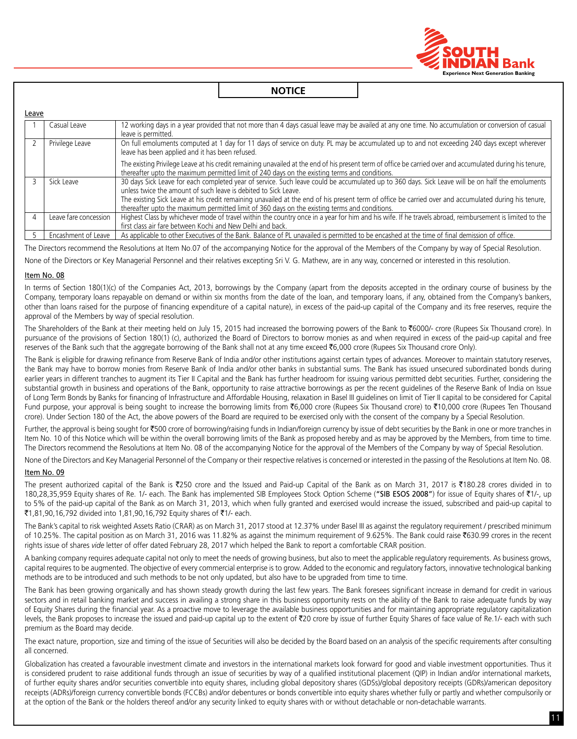

| Leave |                       |                                                                                                                                                                                                                                                             |
|-------|-----------------------|-------------------------------------------------------------------------------------------------------------------------------------------------------------------------------------------------------------------------------------------------------------|
|       | Casual Leave          | 12 working days in a year provided that not more than 4 days casual leave may be availed at any one time. No accumulation or conversion of casual<br>leave is permitted.                                                                                    |
|       | Privilege Leave       | On full emoluments computed at 1 day for 11 days of service on duty. PL may be accumulated up to and not exceeding 240 days except wherever<br>leave has been applied and it has been refused.                                                              |
|       |                       | The existing Privilege Leave at his credit remaining unavailed at the end of his present term of office be carried over and accumulated during his tenure,<br>thereafter upto the maximum permitted limit of 240 days on the existing terms and conditions. |
|       | Sick Leave            | 30 days Sick Leave for each completed year of service. Such leave could be accumulated up to 360 days. Sick Leave will be on half the emoluments<br>unless twice the amount of such leave is debited to Sick Leave.                                         |
|       |                       | The existing Sick Leave at his credit remaining unavailed at the end of his present term of office be carried over and accumulated during his tenure,<br>thereafter upto the maximum permitted limit of 360 days on the existing terms and conditions.      |
|       | Leave fare concession | Highest Class by whichever mode of travel within the country once in a year for him and his wife. If he travels abroad, reimbursement is limited to the<br>first class air fare between Kochi and New Delhi and back.                                       |
|       | Encashment of Leave   | As applicable to other Executives of the Bank. Balance of PL unavailed is permitted to be encashed at the time of final demission of office.                                                                                                                |

The Directors recommend the Resolutions at Item No.07 of the accompanying Notice for the approval of the Members of the Company by way of Special Resolution.

None of the Directors or Key Managerial Personnel and their relatives excepting Sri V. G. Mathew, are in any way, concerned or interested in this resolution.

#### Item No. 08

In terms of Section 180(1)(c) of the Companies Act, 2013, borrowings by the Company (apart from the deposits accepted in the ordinary course of business by the Company, temporary loans repayable on demand or within six months from the date of the loan, and temporary loans, if any, obtained from the Company's bankers, other than loans raised for the purpose of financing expenditure of a capital nature), in excess of the paid-up capital of the Company and its free reserves, require the approval of the Members by way of special resolution.

The Shareholders of the Bank at their meeting held on July 15, 2015 had increased the borrowing powers of the Bank to ₹6000/- crore (Rupees Six Thousand crore). In pursuance of the provisions of Section 180(1) (c), authorized the Board of Directors to borrow monies as and when required in excess of the paid-up capital and free reserves of the Bank such that the aggregate borrowing of the Bank shall not at any time exceed ₹6,000 crore (Rupees Six Thousand crore Only).

The Bank is eligible for drawing refinance from Reserve Bank of India and/or other institutions against certain types of advances. Moreover to maintain statutory reserves, the Bank may have to borrow monies from Reserve Bank of India and/or other banks in substantial sums. The Bank has issued unsecured subordinated bonds during earlier years in different tranches to augment its Tier II Capital and the Bank has further headroom for issuing various permitted debt securities. Further, considering the substantial growth in business and operations of the Bank, opportunity to raise attractive borrowings as per the recent guidelines of the Reserve Bank of India on Issue of Long Term Bonds by Banks for financing of Infrastructure and Affordable Housing, relaxation in Basel III guidelines on limit of Tier II capital to be considered for Capital Fund purpose, your approval is being sought to increase the borrowing limits from ₹6,000 crore (Rupees Six Thousand crore) to ₹10,000 crore (Rupees Ten Thousand crore). Under Section 180 of the Act, the above powers of the Board are required to be exercised only with the consent of the company by a Special Resolution.

Further, the approval is being sought for ₹500 crore of borrowing/raising funds in Indian/foreign currency by issue of debt securities by the Bank in one or more tranches in Item No. 10 of this Notice which will be within the overall borrowing limits of the Bank as proposed hereby and as may be approved by the Members, from time to time. The Directors recommend the Resolutions at Item No. 08 of the accompanying Notice for the approval of the Members of the Company by way of Special Resolution.

None of the Directors and Key Managerial Personnel of the Company or their respective relatives is concerned or interested in the passing of the Resolutions at Item No. 08.

#### Item No. 09

The present authorized capital of the Bank is ₹250 crore and the Issued and Paid-up Capital of the Bank as on March 31, 2017 is ₹180.28 crores divided in to 180,28,35,959 Equity shares of Re. 1/- each. The Bank has implemented SIB Employees Stock Option Scheme ("SIB ESOS 2008") for issue of Equity shares of ₹1/-, up to 5% of the paid-up capital of the Bank as on March 31, 2013, which when fully granted and exercised would increase the issued, subscribed and paid-up capital to ₹1,81,90,16,792 divided into 1,81,90,16,792 Equity shares of ₹1/- each.

The Bank's capital to risk weighted Assets Ratio (CRAR) as on March 31, 2017 stood at 12.37% under Basel III as against the regulatory requirement / prescribed minimum of 10.25%. The capital position as on March 31, 2016 was 11.82% as against the minimum requirement of 9.625%. The Bank could raise `630.99 crores in the recent rights issue of shares *vide* letter of offer dated February 28, 2017 which helped the Bank to report a comfortable CRAR position.

A banking company requires adequate capital not only to meet the needs of growing business, but also to meet the applicable regulatory requirements. As business grows, capital requires to be augmented. The objective of every commercial enterprise is to grow. Added to the economic and regulatory factors, innovative technological banking methods are to be introduced and such methods to be not only updated, but also have to be upgraded from time to time.

The Bank has been growing organically and has shown steady growth during the last few years. The Bank foresees significant increase in demand for credit in various sectors and in retail banking market and success in availing a strong share in this business opportunity rests on the ability of the Bank to raise adequate funds by way of Equity Shares during the financial year. As a proactive move to leverage the available business opportunities and for maintaining appropriate regulatory capitalization levels, the Bank proposes to increase the issued and paid-up capital up to the extent of ₹20 crore by issue of further Equity Shares of face value of Re.1/- each with such premium as the Board may decide.

The exact nature, proportion, size and timing of the issue of Securities will also be decided by the Board based on an analysis of the specific requirements after consulting all concerned.

Globalization has created a favourable investment climate and investors in the international markets look forward for good and viable investment opportunities. Thus it is considered prudent to raise additional funds through an issue of securities by way of a qualified institutional placement (QIP) in Indian and/or international markets, of further equity shares and/or securities convertible into equity shares, including global depository shares (GDSs)/global depository receipts (GDRs)/american depository receipts (ADRs)/foreign currency convertible bonds (FCCBs) and/or debentures or bonds convertible into equity shares whether fully or partly and whether compulsorily or at the option of the Bank or the holders thereof and/or any security linked to equity shares with or without detachable or non-detachable warrants.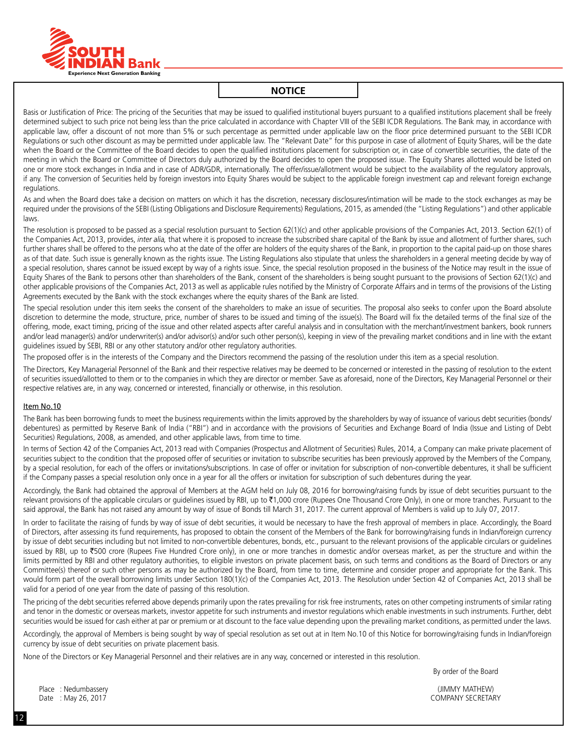

Basis or Justification of Price: The pricing of the Securities that may be issued to qualified institutional buyers pursuant to a qualified institutions placement shall be freely determined subject to such price not being less than the price calculated in accordance with Chapter VIII of the SEBI ICDR Regulations. The Bank may, in accordance with applicable law, offer a discount of not more than 5% or such percentage as permitted under applicable law on the floor price determined pursuant to the SEBI ICDR Regulations or such other discount as may be permitted under applicable law. The "Relevant Date" for this purpose in case of allotment of Equity Shares, will be the date when the Board or the Committee of the Board decides to open the qualified institutions placement for subscription or, in case of convertible securities, the date of the meeting in which the Board or Committee of Directors duly authorized by the Board decides to open the proposed issue. The Equity Shares allotted would be listed on one or more stock exchanges in India and in case of ADR/GDR, internationally. The offer/issue/allotment would be subject to the availability of the regulatory approvals, if any. The conversion of Securities held by foreign investors into Equity Shares would be subject to the applicable foreign investment cap and relevant foreign exchange regulations.

As and when the Board does take a decision on matters on which it has the discretion, necessary disclosures/intimation will be made to the stock exchanges as may be required under the provisions of the SEBI (Listing Obligations and Disclosure Requirements) Regulations, 2015, as amended (the "Listing Regulations") and other applicable laws.

The resolution is proposed to be passed as a special resolution pursuant to Section 62(1)(c) and other applicable provisions of the Companies Act, 2013. Section 62(1) of the Companies Act, 2013, provides, *inter alia,* that where it is proposed to increase the subscribed share capital of the Bank by issue and allotment of further shares, such further shares shall be offered to the persons who at the date of the offer are holders of the equity shares of the Bank, in proportion to the capital paid-up on those shares as of that date. Such issue is generally known as the rights issue. The Listing Regulations also stipulate that unless the shareholders in a general meeting decide by way of a special resolution, shares cannot be issued except by way of a rights issue. Since, the special resolution proposed in the business of the Notice may result in the issue of Equity Shares of the Bank to persons other than shareholders of the Bank, consent of the shareholders is being sought pursuant to the provisions of Section 62(1)(c) and other applicable provisions of the Companies Act, 2013 as well as applicable rules notified by the Ministry of Corporate Affairs and in terms of the provisions of the Listing Agreements executed by the Bank with the stock exchanges where the equity shares of the Bank are listed.

The special resolution under this item seeks the consent of the shareholders to make an issue of securities. the proposal also seeks to confer upon the Board absolute discretion to determine the mode, structure, price, number of shares to be issued and timing of the issue(s). The Board will fix the detailed terms of the final size of the offering, mode, exact timing, pricing of the issue and other related aspects after careful analysis and in consultation with the merchant/investment bankers, book runners and/or lead manager(s) and/or underwriter(s) and/or advisor(s) and/or such other person(s), keeping in view of the prevailing market conditions and in line with the extant guidelines issued by SEBI, RBI or any other statutory and/or other regulatory authorities.

The proposed offer is in the interests of the Company and the Directors recommend the passing of the resolution under this item as a special resolution.

The Directors, Key Managerial Personnel of the Bank and their respective relatives may be deemed to be concerned or interested in the passing of resolution to the extent of securities issued/allotted to them or to the companies in which they are director or member. Save as aforesaid, none of the Directors, Key Managerial Personnel or their respective relatives are, in any way, concerned or interested, financially or otherwise, in this resolution.

#### Item No.10

The Bank has been borrowing funds to meet the business requirements within the limits approved by the shareholders by way of issuance of various debt securities (bonds/ debentures) as permitted by Reserve Bank of India ("RBI") and in accordance with the provisions of Securities and Exchange Board of India (Issue and Listing of Debt Securities) Regulations, 2008, as amended, and other applicable laws, from time to time.

In terms of Section 42 of the Companies Act, 2013 read with Companies (Prospectus and Allotment of Securities) Rules, 2014, a Company can make private placement of securities subject to the condition that the proposed offer of securities or invitation to subscribe securities has been previously approved by the Members of the Company, by a special resolution, for each of the offers or invitations/subscriptions. In case of offer or invitation for subscription of non-convertible debentures, it shall be sufficient if the Company passes a special resolution only once in a year for all the offers or invitation for subscription of such debentures during the year.

Accordingly, the Bank had obtained the approval of Members at the AGM held on July 08, 2016 for borrowing/raising funds by issue of debt securities pursuant to the relevant provisions of the applicable circulars or quidelines issued by RBI, up to ₹1,000 crore (Rupees One Thousand Crore Only), in one or more tranches. Pursuant to the said approval, the Bank has not raised any amount by way of issue of Bonds till March 31, 2017. The current approval of Members is valid up to July 07, 2017.

In order to facilitate the raising of funds by way of issue of debt securities, it would be necessary to have the fresh approval of members in place. Accordingly, the Board of Directors, after assessing its fund requirements, has proposed to obtain the consent of the Members of the Bank for borrowing/raising funds in Indian/foreign currency by issue of debt securities including but not limited to non-convertible debentures, bonds, etc., pursuant to the relevant provisions of the applicable circulars or guidelines issued by RBI, up to ₹500 crore (Rupees Five Hundred Crore only), in one or more tranches in domestic and/or overseas market, as per the structure and within the limits permitted by RBI and other regulatory authorities, to eligible investors on private placement basis, on such terms and conditions as the Board of Directors or any Committee(s) thereof or such other persons as may be authorized by the Board, from time to time, determine and consider proper and appropriate for the Bank. This would form part of the overall borrowing limits under Section 180(1)(c) of the Companies Act, 2013. The Resolution under Section 42 of Companies Act, 2013 shall be valid for a period of one year from the date of passing of this resolution.

The pricing of the debt securities referred above depends primarily upon the rates prevailing for risk free instruments, rates on other competing instruments of similar rating and tenor in the domestic or overseas markets, investor appetite for such instruments and investor regulations which enable investments in such instruments. Further, debt securities would be issued for cash either at par or premium or at discount to the face value depending upon the prevailing market conditions, as permitted under the laws.

Accordingly, the approval of Members is being sought by way of special resolution as set out at in Item No.10 of this Notice for borrowing/raising funds in Indian/foreign currency by issue of debt securities on private placement basis.

None of the Directors or Key Managerial Personnel and their relatives are in any way, concerned or interested in this resolution.

By order of the Board

Place : Nedumbassery (JIMMY MATHEW)

Date : May 26, 2017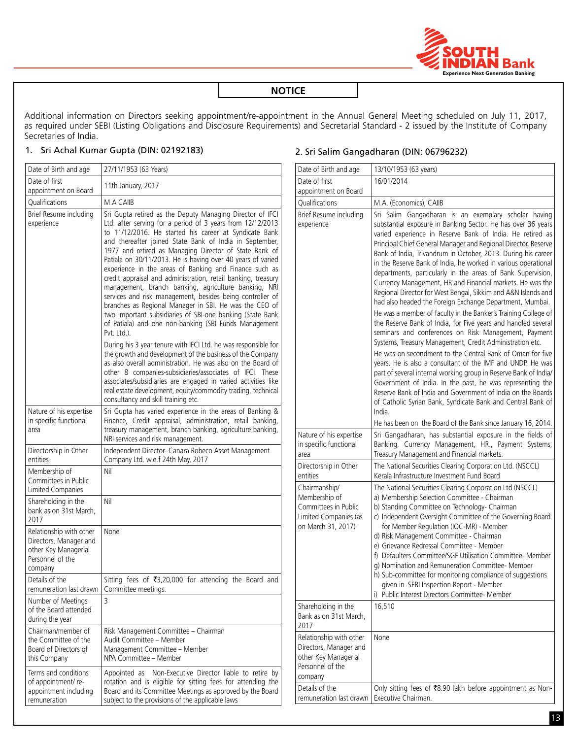

Additional information on Directors seeking appointment/re-appointment in the Annual General Meeting scheduled on July 11, 2017, as required under SEBI (Listing Obligations and Disclosure Requirements) and Secretarial Standard - 2 issued by the Institute of Company Secretaries of India.

#### 1. Sri Achal Kumar Gupta (DIN: 02192183)

| Date of Birth and age                                                                                    | 27/11/1953 (63 Years)                                                                                                                                                                                                                                                                                                                                                                                                                                                                                                                                                                                                                                                                                                                                                                                                |
|----------------------------------------------------------------------------------------------------------|----------------------------------------------------------------------------------------------------------------------------------------------------------------------------------------------------------------------------------------------------------------------------------------------------------------------------------------------------------------------------------------------------------------------------------------------------------------------------------------------------------------------------------------------------------------------------------------------------------------------------------------------------------------------------------------------------------------------------------------------------------------------------------------------------------------------|
| Date of first<br>appointment on Board                                                                    | 11th January, 2017                                                                                                                                                                                                                                                                                                                                                                                                                                                                                                                                                                                                                                                                                                                                                                                                   |
| Qualifications                                                                                           | M.A CAIIB                                                                                                                                                                                                                                                                                                                                                                                                                                                                                                                                                                                                                                                                                                                                                                                                            |
| Brief Resume including<br>experience                                                                     | Sri Gupta retired as the Deputy Managing Director of IFCI<br>Ltd. after serving for a period of 3 years from 12/12/2013<br>to 11/12/2016. He started his career at Syndicate Bank<br>and thereafter joined State Bank of India in September,<br>1977 and retired as Managing Director of State Bank of<br>Patiala on 30/11/2013. He is having over 40 years of varied<br>experience in the areas of Banking and Finance such as<br>credit appraisal and administration, retail banking, treasury<br>management, branch banking, agriculture banking, NRI<br>services and risk management, besides being controller of<br>branches as Regional Manager in SBI. He was the CEO of<br>two important subsidiaries of SBI-one banking (State Bank<br>of Patiala) and one non-banking (SBI Funds Management<br>Pvt. Ltd.). |
|                                                                                                          | During his 3 year tenure with IFCI Ltd. he was responsible for<br>the growth and development of the business of the Company<br>as also overall administration. He was also on the Board of<br>other 8 companies-subsidiaries/associates of IFCI. These<br>associates/subsidiaries are engaged in varied activities like<br>real estate development, equity/commodity trading, technical<br>consultancy and skill training etc.                                                                                                                                                                                                                                                                                                                                                                                       |
| Nature of his expertise<br>in specific functional<br>area                                                | Sri Gupta has varied experience in the areas of Banking &<br>Finance, Credit appraisal, administration, retail banking,<br>treasury management, branch banking, agriculture banking,<br>NRI services and risk management.                                                                                                                                                                                                                                                                                                                                                                                                                                                                                                                                                                                            |
| Directorship in Other<br>entities                                                                        | Independent Director- Canara Robeco Asset Management<br>Company Ltd. w.e.f 24th May, 2017                                                                                                                                                                                                                                                                                                                                                                                                                                                                                                                                                                                                                                                                                                                            |
| Membership of<br>Committees in Public<br>Limited Companies                                               | Nil                                                                                                                                                                                                                                                                                                                                                                                                                                                                                                                                                                                                                                                                                                                                                                                                                  |
| Shareholding in the<br>bank as on 31st March,<br>2017                                                    | Nil                                                                                                                                                                                                                                                                                                                                                                                                                                                                                                                                                                                                                                                                                                                                                                                                                  |
| Relationship with other<br>Directors, Manager and<br>other Key Managerial<br>Personnel of the<br>company | None                                                                                                                                                                                                                                                                                                                                                                                                                                                                                                                                                                                                                                                                                                                                                                                                                 |
| Details of the<br>remuneration last drawn                                                                | Sitting fees of ₹3,20,000 for attending the Board and<br>Committee meetings.                                                                                                                                                                                                                                                                                                                                                                                                                                                                                                                                                                                                                                                                                                                                         |
| Number of Meetings<br>of the Board attended<br>during the year                                           | 3                                                                                                                                                                                                                                                                                                                                                                                                                                                                                                                                                                                                                                                                                                                                                                                                                    |
| Chairman/member of<br>the Committee of the<br>Board of Directors of<br>this Company                      | Risk Management Committee - Chairman<br>Audit Committee - Member<br>Management Committee - Member<br>NPA Committee - Member                                                                                                                                                                                                                                                                                                                                                                                                                                                                                                                                                                                                                                                                                          |
| Terms and conditions<br>of appointment/re-<br>appointment including<br>remuneration                      | Non-Executive Director liable to retire by<br>Appointed as<br>rotation and is eligible for sitting fees for attending the<br>Board and its Committee Meetings as approved by the Board<br>subject to the provisions of the applicable laws                                                                                                                                                                                                                                                                                                                                                                                                                                                                                                                                                                           |

## 2. Sri Salim Gangadharan (DIN: 06796232)

| Date of Birth and age                                                                                    | 13/10/1953 (63 years)                                                                                                                                                                                                                                                                                                                                                                                                                                                                                                                                                                                                                                                                                                                                                                                                                                                                                                                                                                                                                                                                                                                                                                                                                                                                                                                                                      |
|----------------------------------------------------------------------------------------------------------|----------------------------------------------------------------------------------------------------------------------------------------------------------------------------------------------------------------------------------------------------------------------------------------------------------------------------------------------------------------------------------------------------------------------------------------------------------------------------------------------------------------------------------------------------------------------------------------------------------------------------------------------------------------------------------------------------------------------------------------------------------------------------------------------------------------------------------------------------------------------------------------------------------------------------------------------------------------------------------------------------------------------------------------------------------------------------------------------------------------------------------------------------------------------------------------------------------------------------------------------------------------------------------------------------------------------------------------------------------------------------|
| Date of first                                                                                            | 16/01/2014                                                                                                                                                                                                                                                                                                                                                                                                                                                                                                                                                                                                                                                                                                                                                                                                                                                                                                                                                                                                                                                                                                                                                                                                                                                                                                                                                                 |
| appointment on Board                                                                                     |                                                                                                                                                                                                                                                                                                                                                                                                                                                                                                                                                                                                                                                                                                                                                                                                                                                                                                                                                                                                                                                                                                                                                                                                                                                                                                                                                                            |
| Qualifications                                                                                           | M.A. (Economics), CAIIB                                                                                                                                                                                                                                                                                                                                                                                                                                                                                                                                                                                                                                                                                                                                                                                                                                                                                                                                                                                                                                                                                                                                                                                                                                                                                                                                                    |
| Brief Resume including<br>experience                                                                     | Sri Salim Gangadharan is an exemplary scholar having<br>substantial exposure in Banking Sector. He has over 36 years<br>varied experience in Reserve Bank of India. He retired as<br>Principal Chief General Manager and Regional Director, Reserve<br>Bank of India, Trivandrum in October, 2013. During his career<br>in the Reserve Bank of India, he worked in various operational<br>departments, particularly in the areas of Bank Supervision,<br>Currency Management, HR and Financial markets. He was the<br>Regional Director for West Bengal, Sikkim and A&N Islands and<br>had also headed the Foreign Exchange Department, Mumbai.<br>He was a member of faculty in the Banker's Training College of<br>the Reserve Bank of India, for Five years and handled several<br>seminars and conferences on Risk Management, Payment<br>Systems, Treasury Management, Credit Administration etc.<br>He was on secondment to the Central Bank of Oman for five<br>years. He is also a consultant of the IMF and UNDP. He was<br>part of several internal working group in Reserve Bank of India/<br>Government of India. In the past, he was representing the<br>Reserve Bank of India and Government of India on the Boards<br>of Catholic Syrian Bank, Syndicate Bank and Central Bank of<br>India.<br>He has been on the Board of the Bank since January 16, 2014. |
| Nature of his expertise<br>in specific functional<br>area                                                | Sri Gangadharan, has substantial exposure in the fields of<br>Banking, Currency Management, HR., Payment Systems,<br>Treasury Management and Financial markets.                                                                                                                                                                                                                                                                                                                                                                                                                                                                                                                                                                                                                                                                                                                                                                                                                                                                                                                                                                                                                                                                                                                                                                                                            |
| Directorship in Other<br>entities                                                                        | The National Securities Clearing Corporation Ltd. (NSCCL)<br>Kerala Infrastructure Investment Fund Board                                                                                                                                                                                                                                                                                                                                                                                                                                                                                                                                                                                                                                                                                                                                                                                                                                                                                                                                                                                                                                                                                                                                                                                                                                                                   |
| Chairmanship/<br>Membership of<br>Committees in Public<br>Limited Companies (as<br>on March 31, 2017)    | The National Securities Clearing Corporation Ltd (NSCCL)<br>a) Membership Selection Committee - Chairman<br>b) Standing Committee on Technology- Chairman<br>c) Independent Oversight Committee of the Governing Board<br>for Member Regulation (IOC-MR) - Member<br>d) Risk Management Committee - Chairman<br>e) Grievance Redressal Committee - Member<br>f) Defaulters Committee/SGF Utilisation Committee- Member<br>g) Nomination and Remuneration Committee- Member<br>h) Sub-committee for monitoring compliance of suggestions<br>given in SEBI Inspection Report - Member<br>i) Public Interest Directors Committee- Member                                                                                                                                                                                                                                                                                                                                                                                                                                                                                                                                                                                                                                                                                                                                      |
| Shareholding in the<br>Bank as on 31st March,<br>2017                                                    | 16,510                                                                                                                                                                                                                                                                                                                                                                                                                                                                                                                                                                                                                                                                                                                                                                                                                                                                                                                                                                                                                                                                                                                                                                                                                                                                                                                                                                     |
| Relationship with other<br>Directors, Manager and<br>other Key Managerial<br>Personnel of the<br>company | None                                                                                                                                                                                                                                                                                                                                                                                                                                                                                                                                                                                                                                                                                                                                                                                                                                                                                                                                                                                                                                                                                                                                                                                                                                                                                                                                                                       |
| Details of the<br>remuneration last drawn                                                                | Only sitting fees of ₹8.90 lakh before appointment as Non-<br>Executive Chairman.                                                                                                                                                                                                                                                                                                                                                                                                                                                                                                                                                                                                                                                                                                                                                                                                                                                                                                                                                                                                                                                                                                                                                                                                                                                                                          |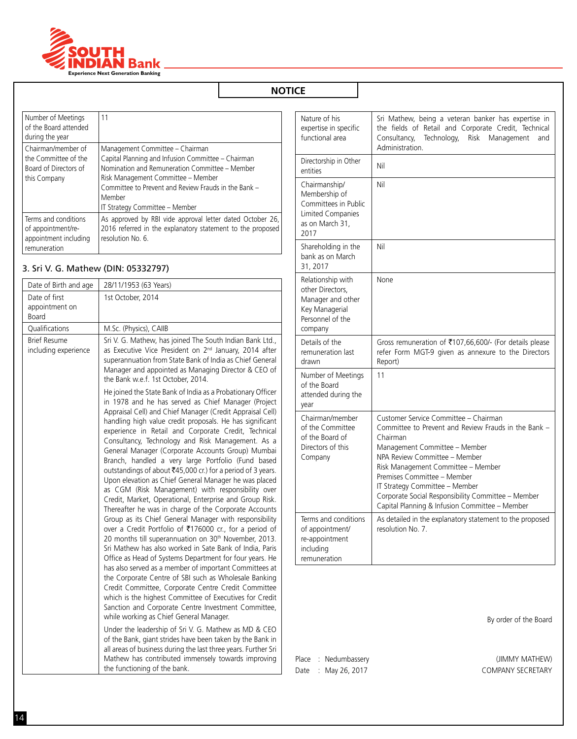

| Number of Meetings<br>of the Board attended<br>during the year                      | 11                                                                                                                                                                                                                                                                                |
|-------------------------------------------------------------------------------------|-----------------------------------------------------------------------------------------------------------------------------------------------------------------------------------------------------------------------------------------------------------------------------------|
| Chairman/member of<br>the Committee of the<br>Board of Directors of<br>this Company | Management Committee - Chairman<br>Capital Planning and Infusion Committee - Chairman<br>Nomination and Remuneration Committee - Member<br>Risk Management Committee - Member<br>Committee to Prevent and Review Frauds in the Bank -<br>Member<br>IT Strategy Committee - Member |
| Terms and conditions<br>of appointment/re-<br>appointment including<br>remuneration | As approved by RBI vide approval letter dated October 26,<br>2016 referred in the explanatory statement to the proposed<br>resolution No. 6.                                                                                                                                      |

## 3. Sri V. G. Mathew (DIN: 05332797)

| Date of Birth and age                           | 28/11/1953 (63 Years)                                                                                                                                                                                                                                                                                                                                                                                                                                                                                                                                                                                                                                                                                                                                                                                                                                                                                                                                                                                                                                                                                                                                                                                                                                                                                                                                                                                                                                                                                                                                                                                                                                                                                    |
|-------------------------------------------------|----------------------------------------------------------------------------------------------------------------------------------------------------------------------------------------------------------------------------------------------------------------------------------------------------------------------------------------------------------------------------------------------------------------------------------------------------------------------------------------------------------------------------------------------------------------------------------------------------------------------------------------------------------------------------------------------------------------------------------------------------------------------------------------------------------------------------------------------------------------------------------------------------------------------------------------------------------------------------------------------------------------------------------------------------------------------------------------------------------------------------------------------------------------------------------------------------------------------------------------------------------------------------------------------------------------------------------------------------------------------------------------------------------------------------------------------------------------------------------------------------------------------------------------------------------------------------------------------------------------------------------------------------------------------------------------------------------|
| Date of first<br>appointment on<br><b>Board</b> | 1st October, 2014                                                                                                                                                                                                                                                                                                                                                                                                                                                                                                                                                                                                                                                                                                                                                                                                                                                                                                                                                                                                                                                                                                                                                                                                                                                                                                                                                                                                                                                                                                                                                                                                                                                                                        |
| Qualifications                                  | M.Sc. (Physics), CAIIB                                                                                                                                                                                                                                                                                                                                                                                                                                                                                                                                                                                                                                                                                                                                                                                                                                                                                                                                                                                                                                                                                                                                                                                                                                                                                                                                                                                                                                                                                                                                                                                                                                                                                   |
| <b>Brief Resume</b><br>including experience     | Sri V. G. Mathew, has joined The South Indian Bank Ltd.,<br>as Executive Vice President on 2 <sup>nd</sup> January, 2014 after<br>superannuation from State Bank of India as Chief General<br>Manager and appointed as Managing Director & CEO of<br>the Bank w.e.f. 1st October, 2014.                                                                                                                                                                                                                                                                                                                                                                                                                                                                                                                                                                                                                                                                                                                                                                                                                                                                                                                                                                                                                                                                                                                                                                                                                                                                                                                                                                                                                  |
|                                                 | He joined the State Bank of India as a Probationary Officer<br>in 1978 and he has served as Chief Manager (Project<br>Appraisal Cell) and Chief Manager (Credit Appraisal Cell)<br>handling high value credit proposals. He has significant<br>experience in Retail and Corporate Credit, Technical<br>Consultancy, Technology and Risk Management. As a<br>General Manager (Corporate Accounts Group) Mumbai<br>Branch, handled a very large Portfolio (Fund based<br>outstandings of about ₹45,000 cr.) for a period of 3 years.<br>Upon elevation as Chief General Manager he was placed<br>as CGM (Risk Management) with responsibility over<br>Credit, Market, Operational, Enterprise and Group Risk.<br>Thereafter he was in charge of the Corporate Accounts<br>Group as its Chief General Manager with responsibility<br>over a Credit Portfolio of ₹176000 cr., for a period of<br>20 months till superannuation on 30 <sup>th</sup> November, 2013.<br>Sri Mathew has also worked in Sate Bank of India, Paris<br>Office as Head of Systems Department for four years. He<br>has also served as a member of important Committees at<br>the Corporate Centre of SBI such as Wholesale Banking<br>Credit Committee, Corporate Centre Credit Committee<br>which is the highest Committee of Executives for Credit<br>Sanction and Corporate Centre Investment Committee,<br>while working as Chief General Manager.<br>Under the leadership of Sri V. G. Mathew as MD & CEO<br>of the Bank, giant strides have been taken by the Bank in<br>all areas of business during the last three years. Further Sri<br>Mathew has contributed immensely towards improving<br>the functioning of the bank. |

| Nature of his<br>expertise in specific<br>functional area                                                     | Sri Mathew, being a veteran banker has expertise in<br>the fields of Retail and Corporate Credit, Technical<br>Technology,<br><b>Risk</b><br>Management<br>Consultancy,<br>and<br>Administration.                                                                                                                                                                                          |
|---------------------------------------------------------------------------------------------------------------|--------------------------------------------------------------------------------------------------------------------------------------------------------------------------------------------------------------------------------------------------------------------------------------------------------------------------------------------------------------------------------------------|
| Directorship in Other<br>entities                                                                             | Nil                                                                                                                                                                                                                                                                                                                                                                                        |
| Chairmanship/<br>Membership of<br>Committees in Public<br><b>Limited Companies</b><br>as on March 31,<br>2017 | Nil                                                                                                                                                                                                                                                                                                                                                                                        |
| Shareholding in the<br>bank as on March<br>31, 2017                                                           | Nil                                                                                                                                                                                                                                                                                                                                                                                        |
| Relationship with<br>other Directors,<br>Manager and other<br>Key Managerial<br>Personnel of the<br>company   | None                                                                                                                                                                                                                                                                                                                                                                                       |
| Details of the<br>remuneration last<br>drawn                                                                  | Gross remuneration of ₹107,66,600/- (For details please<br>refer Form MGT-9 given as annexure to the Directors<br>Report)                                                                                                                                                                                                                                                                  |
| Number of Meetings<br>of the Board<br>attended during the<br>vear                                             | 11                                                                                                                                                                                                                                                                                                                                                                                         |
| Chairman/member<br>of the Committee<br>of the Board of<br>Directors of this<br>Company                        | Customer Service Committee - Chairman<br>Committee to Prevent and Review Frauds in the Bank -<br>Chairman<br>Management Committee - Member<br>NPA Review Committee - Member<br>Risk Management Committee - Member<br>Premises Committee - Member<br>IT Strategy Committee - Member<br>Corporate Social Responsibility Committee - Member<br>Capital Planning & Infusion Committee - Member |
| Terms and conditions<br>of appointment/<br>re-appointment<br>including<br>remuneration                        | As detailed in the explanatory statement to the proposed<br>resolution No. 7.                                                                                                                                                                                                                                                                                                              |

By order of the Board

Place : Nedumbassery **Example 20 and Series 20 and AU (JIMMY MATHEW)** 

Date : May 26, 2017 COMPANY SECRETARY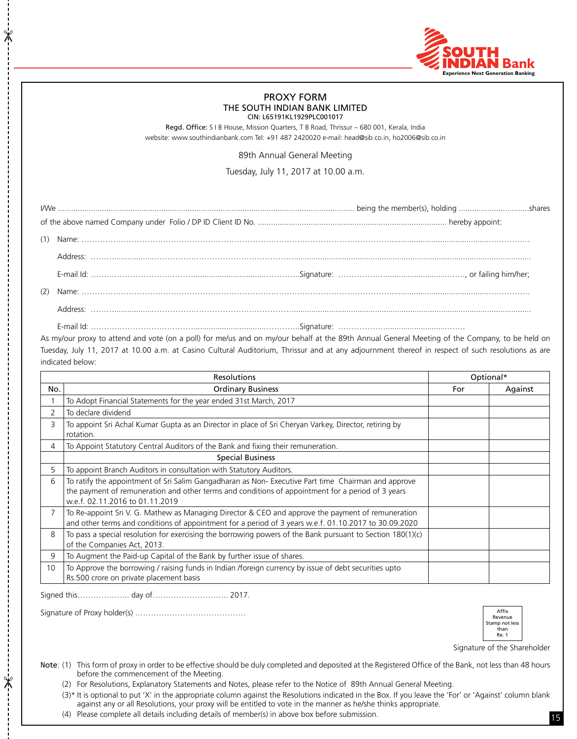

#### PROXY FORM THE SOUTH INDIAN BANK LIMITED CIN: L65191KL1929PLC001017

Regd. Office: S I B House, Mission Quarters, T B Road, Thrissur – 680 001, Kerala, India website: www.southindianbank.com Tel: +91 487 2420020 e-mail: head@sib.co.in, ho2006@sib.co.in

89th Annual General Meeting

Tuesday, July 11, 2017 at 10.00 a.m.

As my/our proxy to attend and vote (on a poll) for me/us and on my/our behalf at the 89th Annual General Meeting of the Company, to be held on Tuesday, July 11, 2017 at 10.00 a.m. at Casino Cultural Auditorium, Thrissur and at any adjournment thereof in respect of such resolutions as are indicated below:

|                | <b>Resolutions</b>                                                                                                                                                                                                                         |     | Optional* |  |
|----------------|--------------------------------------------------------------------------------------------------------------------------------------------------------------------------------------------------------------------------------------------|-----|-----------|--|
| No.            | <b>Ordinary Business</b>                                                                                                                                                                                                                   | For | Against   |  |
|                | To Adopt Financial Statements for the year ended 31st March, 2017                                                                                                                                                                          |     |           |  |
| 2              | To declare dividend                                                                                                                                                                                                                        |     |           |  |
| 3              | To appoint Sri Achal Kumar Gupta as an Director in place of Sri Cheryan Varkey, Director, retiring by<br>rotation.                                                                                                                         |     |           |  |
| 4              | To Appoint Statutory Central Auditors of the Bank and fixing their remuneration.                                                                                                                                                           |     |           |  |
|                | <b>Special Business</b>                                                                                                                                                                                                                    |     |           |  |
| 5              | To appoint Branch Auditors in consultation with Statutory Auditors.                                                                                                                                                                        |     |           |  |
| 6              | To ratify the appointment of Sri Salim Gangadharan as Non-Executive Part time Chairman and approve<br>the payment of remuneration and other terms and conditions of appointment for a period of 3 years<br>w.e.f. 02.11.2016 to 01.11.2019 |     |           |  |
| $\overline{7}$ | To Re-appoint Sri V. G. Mathew as Managing Director & CEO and approve the payment of remuneration<br>and other terms and conditions of appointment for a period of 3 years w.e.f. 01.10.2017 to 30.09.2020                                 |     |           |  |
| 8              | To pass a special resolution for exercising the borrowing powers of the Bank pursuant to Section $180(1)(c)$<br>of the Companies Act, 2013.                                                                                                |     |           |  |
| 9              | To Augment the Paid-up Capital of the Bank by further issue of shares.                                                                                                                                                                     |     |           |  |
| 10             | To Approve the borrowing / raising funds in Indian /foreign currency by issue of debt securities upto<br>Rs.500 crore on private placement basis                                                                                           |     |           |  |

Signed this……………….. day of……………………….. 2017.

 $\frac{1}{2}$ 

 $\frac{1}{2}$ 

Signature of Proxy holder(s) ……………………………………



Signature of the Shareholder

- Note: (1) This form of proxy in order to be effective should be duly completed and deposited at the Registered Office of the Bank, not less than 48 hours before the commencement of the Meeting.
	- (2) For Resolutions, Explanatory Statements and Notes, please refer to the Notice of 89th Annual General Meeting.

(3)\* It is optional to put 'X' in the appropriate column against the Resolutions indicated in the Box. If you leave the 'For' or 'Against' column blank against any or all Resolutions, your proxy will be entitled to vote in the manner as he/she thinks appropriate.

(4) Please complete all details including details of member(s) in above box before submission.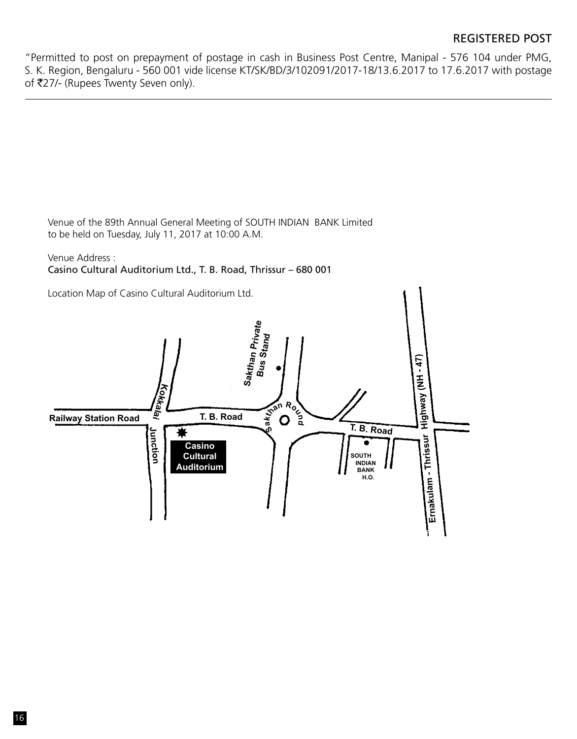"Permitted to post on prepayment of postage in cash in Business Post Centre, Manipal - 576 104 under PMG, S. K. Region, Bengaluru - 560 001 vide license KT/SK/BD/3/102091/2017-18/13.6.2017 to 17.6.2017 with postage of ₹27/- (Rupees Twenty Seven only).

Venue of the 89th Annual General Meeting of SOUTH INDIAN BANK Limited to be held on Tuesday, July 11, 2017 at 10:00 A.M.

Venue Address : Casino Cultural Auditorium Ltd., T. B. Road, Thrissur – 680 001

Location Map of Casino Cultural Auditorium Ltd. **Sakthan Private Stand** Highway (NH - 47) **Highway (NH - 47) Bus Kokkalai h**<br> **h**<br> **d**<br> **d**<br> **d**<br> **d**<br> **d T. B. Road Railway station Road T. B. Road Sa Junction** ₩ Ernakulam - Thrissur **Ernakulam - Thrissur**  Ċ **Casino Cultural South Indian Auditorium Bank h.o.**